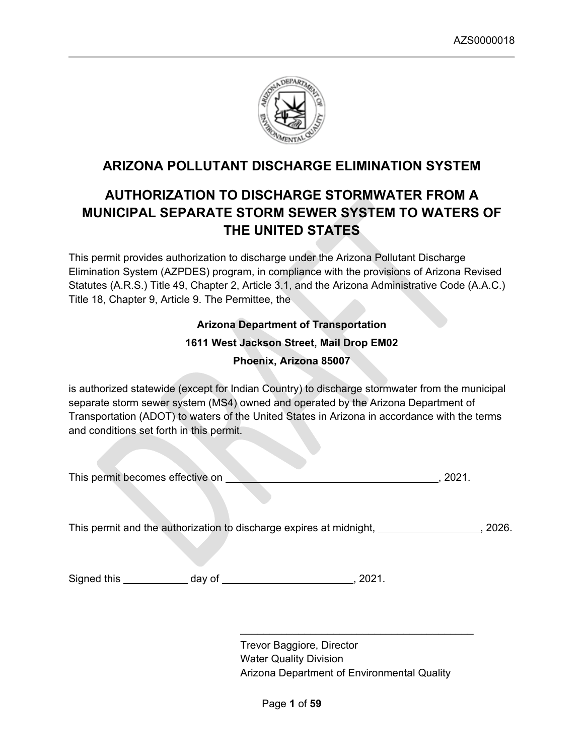

# **ARIZONA POLLUTANT DISCHARGE ELIMINATION SYSTEM**

# **AUTHORIZATION TO DISCHARGE STORMWATER FROM A MUNICIPAL SEPARATE STORM SEWER SYSTEM TO WATERS OF THE UNITED STATES**

This permit provides authorization to discharge under the Arizona Pollutant Discharge Elimination System (AZPDES) program, in compliance with the provisions of Arizona Revised Statutes (A.R.S.) Title 49, Chapter 2, Article 3.1, and the Arizona Administrative Code (A.A.C.) Title 18, Chapter 9, Article 9. The Permittee, the

> **Arizona Department of Transportation 1611 West Jackson Street, Mail Drop EM02 Phoenix, Arizona 85007**

is authorized statewide (except for Indian Country) to discharge stormwater from the municipal separate storm sewer system (MS4) owned and operated by the Arizona Department of Transportation (ADOT) to waters of the United States in Arizona in accordance with the terms and conditions set forth in this permit.

| This permit becomes effective on |  |  |
|----------------------------------|--|--|

This permit and the authorization to discharge expires at midnight, and the metal of the subset of the subset of the subset of the subset of the subset of the subset of the subset of the subset of the subset of the subset

Signed this day of , 2021.

Trevor Baggiore, Director Water Quality Division Arizona Department of Environmental Quality

 $\mathcal{L}_\text{max}$  , where  $\mathcal{L}_\text{max}$  and  $\mathcal{L}_\text{max}$  and  $\mathcal{L}_\text{max}$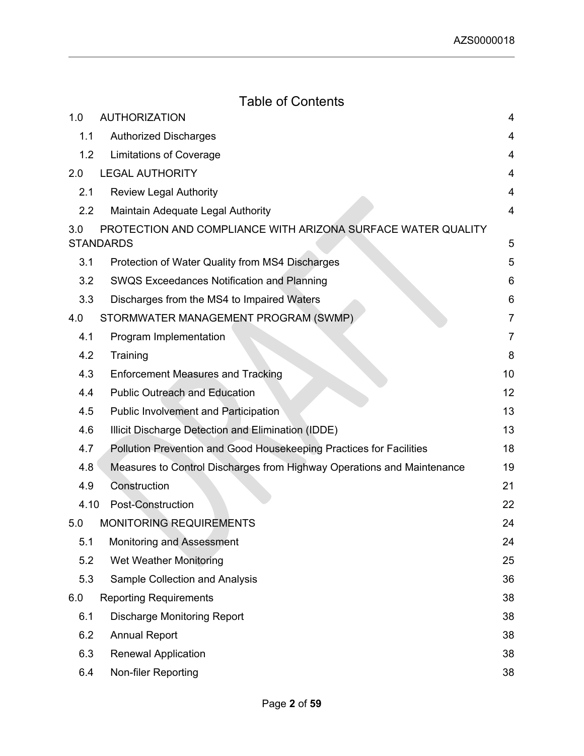# Table of Contents

| 1.0              | <b>AUTHORIZATION</b>                                                             | 4              |
|------------------|----------------------------------------------------------------------------------|----------------|
| 1.1              | <b>Authorized Discharges</b>                                                     | 4              |
| 1.2              | <b>Limitations of Coverage</b>                                                   | 4              |
| 2.0              | <b>LEGAL AUTHORITY</b>                                                           | 4              |
| 2.1              | <b>Review Legal Authority</b>                                                    | 4              |
| $2.2\phantom{0}$ | Maintain Adequate Legal Authority                                                | 4              |
| 3.0              | PROTECTION AND COMPLIANCE WITH ARIZONA SURFACE WATER QUALITY<br><b>STANDARDS</b> | 5              |
| 3.1              | Protection of Water Quality from MS4 Discharges                                  | 5              |
| 3.2              | <b>SWQS Exceedances Notification and Planning</b>                                | 6              |
| 3.3              | Discharges from the MS4 to Impaired Waters                                       | 6              |
| 4.0              | STORMWATER MANAGEMENT PROGRAM (SWMP)                                             | 7              |
| 4.1              | Program Implementation                                                           | $\overline{7}$ |
| 4.2              | Training                                                                         | 8              |
| 4.3              | <b>Enforcement Measures and Tracking</b>                                         | 10             |
| 4.4              | <b>Public Outreach and Education</b>                                             | 12             |
| 4.5              | <b>Public Involvement and Participation</b>                                      | 13             |
| 4.6              | Illicit Discharge Detection and Elimination (IDDE)                               | 13             |
| 4.7              | Pollution Prevention and Good Housekeeping Practices for Facilities              | 18             |
| 4.8              | Measures to Control Discharges from Highway Operations and Maintenance           | 19             |
| 4.9              | Construction                                                                     | 21             |
| 4.10             | Post-Construction                                                                | 22             |
| 5.0              | <b>MONITORING REQUIREMENTS</b>                                                   | 24             |
| 5.1              | <b>Monitoring and Assessment</b>                                                 | 24             |
| 5.2              | <b>Wet Weather Monitoring</b>                                                    | 25             |
| 5.3              | <b>Sample Collection and Analysis</b>                                            | 36             |
| 6.0              | <b>Reporting Requirements</b>                                                    | 38             |
| 6.1              | <b>Discharge Monitoring Report</b>                                               | 38             |
| 6.2              | <b>Annual Report</b>                                                             | 38             |
| 6.3              | <b>Renewal Application</b>                                                       | 38             |
| 6.4              | Non-filer Reporting                                                              | 38             |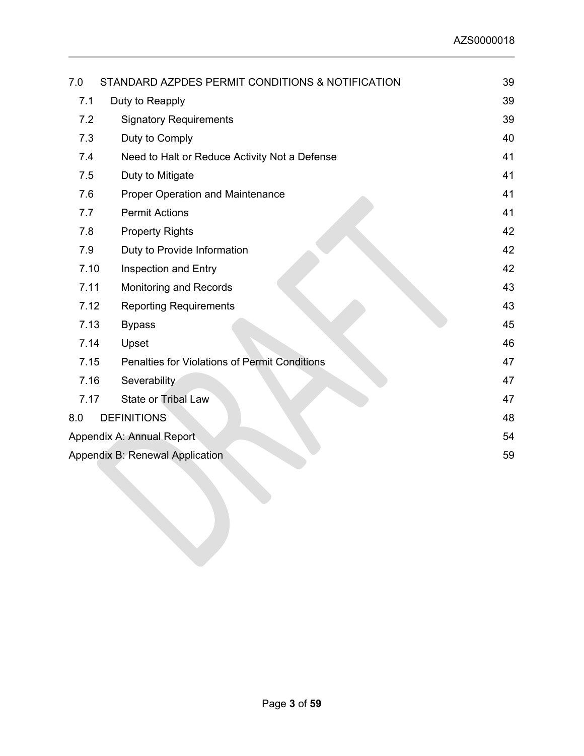| 7.0  | STANDARD AZPDES PERMIT CONDITIONS & NOTIFICATION     | 39 |
|------|------------------------------------------------------|----|
| 7.1  | Duty to Reapply                                      | 39 |
| 7.2  | <b>Signatory Requirements</b>                        | 39 |
| 7.3  | Duty to Comply                                       | 40 |
| 7.4  | Need to Halt or Reduce Activity Not a Defense        | 41 |
| 7.5  | Duty to Mitigate                                     | 41 |
| 7.6  | <b>Proper Operation and Maintenance</b>              | 41 |
| 7.7  | <b>Permit Actions</b>                                | 41 |
| 7.8  | <b>Property Rights</b>                               | 42 |
| 7.9  | Duty to Provide Information                          | 42 |
| 7.10 | Inspection and Entry                                 | 42 |
| 7.11 | <b>Monitoring and Records</b>                        | 43 |
| 7.12 | <b>Reporting Requirements</b>                        | 43 |
| 7.13 | <b>Bypass</b>                                        | 45 |
| 7.14 | Upset                                                | 46 |
| 7.15 | <b>Penalties for Violations of Permit Conditions</b> | 47 |
| 7.16 | Severability                                         | 47 |
| 7.17 | State or Tribal Law                                  | 47 |
| 8.0  | <b>DEFINITIONS</b>                                   | 48 |
|      | Appendix A: Annual Report                            | 54 |
|      | Appendix B: Renewal Application                      | 59 |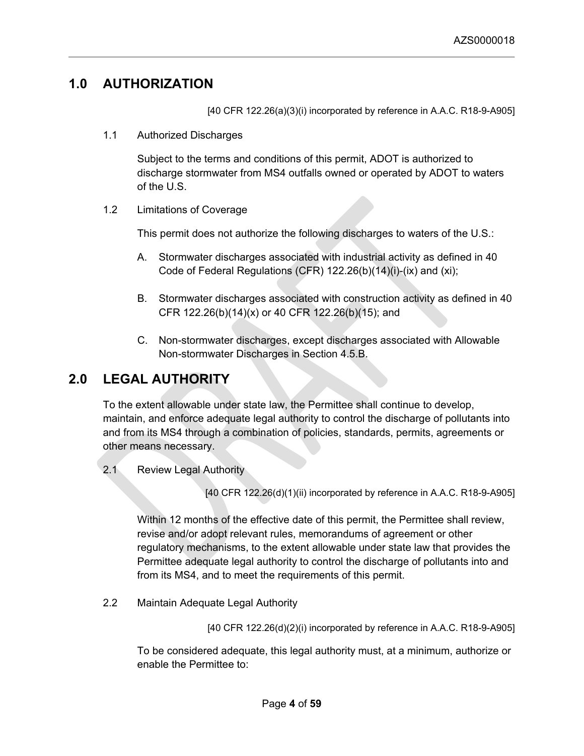# <span id="page-3-0"></span>**1.0 AUTHORIZATION**

[40 CFR 122.26(a)(3)(i) incorporated by reference in A.A.C. R18-9-A905]

<span id="page-3-1"></span>1.1 Authorized Discharges

Subject to the terms and conditions of this permit, ADOT is authorized to discharge stormwater from MS4 outfalls owned or operated by ADOT to waters of the U.S.

<span id="page-3-2"></span>1.2 Limitations of Coverage

This permit does not authorize the following discharges to waters of the U.S.:

- A. Stormwater discharges associated with industrial activity as defined in 40 Code of Federal Regulations (CFR) 122.26(b)(14)(i)-(ix) and (xi);
- B. Stormwater discharges associated with construction activity as defined in 40 CFR 122.26(b)(14)(x) or 40 CFR 122.26(b)(15); and
- C. Non-stormwater discharges, except discharges associated with Allowable Non-stormwater Discharges in Section 4.5.B.

# <span id="page-3-3"></span>**2.0 LEGAL AUTHORITY**

To the extent allowable under state law, the Permittee shall continue to develop, maintain, and enforce adequate legal authority to control the discharge of pollutants into and from its MS4 through a combination of policies, standards, permits, agreements or other means necessary.

<span id="page-3-4"></span>2.1 Review Legal Authority

[40 CFR 122.26(d)(1)(ii) incorporated by reference in A.A.C. R18-9-A905]

Within 12 months of the effective date of this permit, the Permittee shall review, revise and/or adopt relevant rules, memorandums of agreement or other regulatory mechanisms, to the extent allowable under state law that provides the Permittee adequate legal authority to control the discharge of pollutants into and from its MS4, and to meet the requirements of this permit.

<span id="page-3-5"></span>2.2 Maintain Adequate Legal Authority

[40 CFR 122.26(d)(2)(i) incorporated by reference in A.A.C. R18-9-A905]

To be considered adequate, this legal authority must, at a minimum, authorize or enable the Permittee to: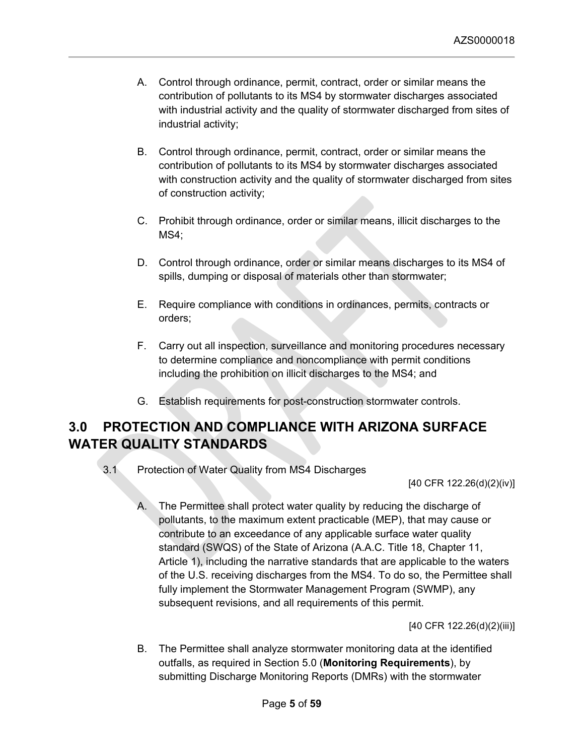- A. Control through ordinance, permit, contract, order or similar means the contribution of pollutants to its MS4 by stormwater discharges associated with industrial activity and the quality of stormwater discharged from sites of industrial activity;
- B. Control through ordinance, permit, contract, order or similar means the contribution of pollutants to its MS4 by stormwater discharges associated with construction activity and the quality of stormwater discharged from sites of construction activity;
- C. Prohibit through ordinance, order or similar means, illicit discharges to the MS4;
- D. Control through ordinance, order or similar means discharges to its MS4 of spills, dumping or disposal of materials other than stormwater;
- E. Require compliance with conditions in ordinances, permits, contracts or orders;
- F. Carry out all inspection, surveillance and monitoring procedures necessary to determine compliance and noncompliance with permit conditions including the prohibition on illicit discharges to the MS4; and
- G. Establish requirements for post-construction stormwater controls.

# <span id="page-4-0"></span>**3.0 PROTECTION AND COMPLIANCE WITH ARIZONA SURFACE WATER QUALITY STANDARDS**

<span id="page-4-1"></span>3.1 Protection of Water Quality from MS4 Discharges

[40 CFR 122.26(d)(2)(iv)]

A. The Permittee shall protect water quality by reducing the discharge of pollutants, to the maximum extent practicable (MEP), that may cause or contribute to an exceedance of any applicable surface water quality standard (SWQS) of the State of Arizona (A.A.C. Title 18, Chapter 11, Article 1), including the narrative standards that are applicable to the waters of the U.S. receiving discharges from the MS4. To do so, the Permittee shall fully implement the Stormwater Management Program (SWMP), any subsequent revisions, and all requirements of this permit.

[40 CFR 122.26(d)(2)(iii)]

B. The Permittee shall analyze stormwater monitoring data at the identified outfalls, as required in Section 5.0 (**Monitoring Requirements**), by submitting Discharge Monitoring Reports (DMRs) with the stormwater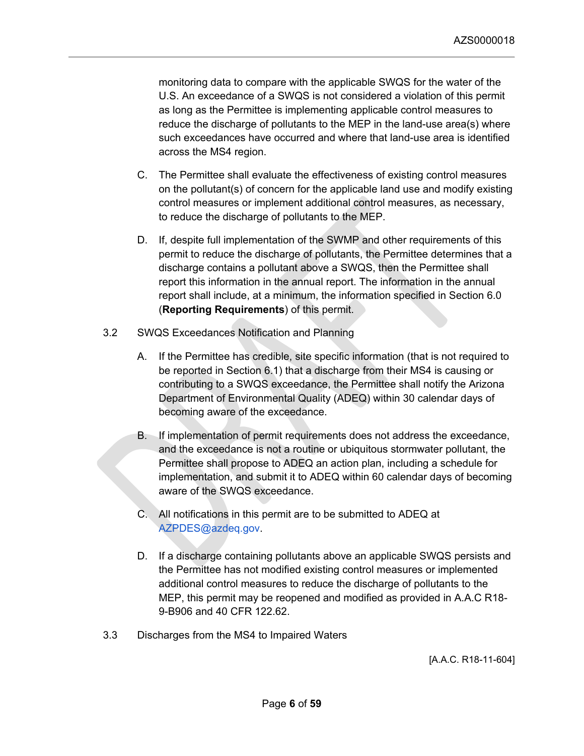monitoring data to compare with the applicable SWQS for the water of the U.S. An exceedance of a SWQS is not considered a violation of this permit as long as the Permittee is implementing applicable control measures to reduce the discharge of pollutants to the MEP in the land-use area(s) where such exceedances have occurred and where that land-use area is identified across the MS4 region.

- C. The Permittee shall evaluate the effectiveness of existing control measures on the pollutant(s) of concern for the applicable land use and modify existing control measures or implement additional control measures, as necessary, to reduce the discharge of pollutants to the MEP.
- D. If, despite full implementation of the SWMP and other requirements of this permit to reduce the discharge of pollutants, the Permittee determines that a discharge contains a pollutant above a SWQS, then the Permittee shall report this information in the annual report. The information in the annual report shall include, at a minimum, the information specified in Section 6.0 (**Reporting Requirements**) of this permit.
- <span id="page-5-0"></span>3.2 SWQS Exceedances Notification and Planning
	- A. If the Permittee has credible, site specific information (that is not required to be reported in Section 6.1) that a discharge from their MS4 is causing or contributing to a SWQS exceedance, the Permittee shall notify the Arizona Department of Environmental Quality (ADEQ) within 30 calendar days of becoming aware of the exceedance.
	- B. If implementation of permit requirements does not address the exceedance, and the exceedance is not a routine or ubiquitous stormwater pollutant, the Permittee shall propose to ADEQ an action plan, including a schedule for implementation, and submit it to ADEQ within 60 calendar days of becoming aware of the SWQS exceedance.
	- C. All notifications in this permit are to be submitted to ADEQ at AZPDES@azdeq.gov.
	- D. If a discharge containing pollutants above an applicable SWQS persists and the Permittee has not modified existing control measures or implemented additional control measures to reduce the discharge of pollutants to the MEP, this permit may be reopened and modified as provided in A.A.C R18- 9-B906 and 40 CFR 122.62.
- <span id="page-5-1"></span>3.3 Discharges from the MS4 to Impaired Waters

[A.A.C. R18-11-604]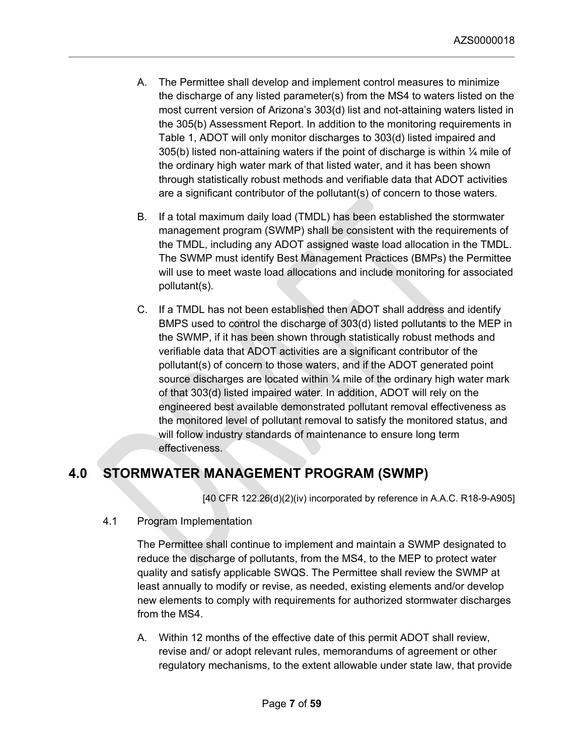- A. The Permittee shall develop and implement control measures to minimize the discharge of any listed parameter(s) from the MS4 to waters listed on the most current version of Arizona's 303(d) list and not-attaining waters listed in the 305(b) Assessment Report. In addition to the monitoring requirements in Table 1, ADOT will only monitor discharges to 303(d) listed impaired and 305(b) listed non-attaining waters if the point of discharge is within ¼ mile of the ordinary high water mark of that listed water, and it has been shown through statistically robust methods and verifiable data that ADOT activities are a significant contributor of the pollutant(s) of concern to those waters.
- B. If a total maximum daily load (TMDL) has been established the stormwater management program (SWMP) shall be consistent with the requirements of the TMDL, including any ADOT assigned waste load allocation in the TMDL. The SWMP must identify Best Management Practices (BMPs) the Permittee will use to meet waste load allocations and include monitoring for associated pollutant(s).
- C. If a TMDL has not been established then ADOT shall address and identify BMPS used to control the discharge of 303(d) listed pollutants to the MEP in the SWMP, if it has been shown through statistically robust methods and verifiable data that ADOT activities are a significant contributor of the pollutant(s) of concern to those waters, and if the ADOT generated point source discharges are located within  $\frac{1}{4}$  mile of the ordinary high water mark of that 303(d) listed impaired water. In addition, ADOT will rely on the engineered best available demonstrated pollutant removal effectiveness as the monitored level of pollutant removal to satisfy the monitored status, and will follow industry standards of maintenance to ensure long term effectiveness.

# <span id="page-6-0"></span>**4.0 STORMWATER MANAGEMENT PROGRAM (SWMP)**

[40 CFR 122.26(d)(2)(iv) incorporated by reference in A.A.C. R18-9-A905]

<span id="page-6-1"></span>4.1 Program Implementation

The Permittee shall continue to implement and maintain a SWMP designated to reduce the discharge of pollutants, from the MS4, to the MEP to protect water quality and satisfy applicable SWQS. The Permittee shall review the SWMP at least annually to modify or revise, as needed, existing elements and/or develop new elements to comply with requirements for authorized stormwater discharges from the MS4.

A. Within 12 months of the effective date of this permit ADOT shall review, revise and/ or adopt relevant rules, memorandums of agreement or other regulatory mechanisms, to the extent allowable under state law, that provide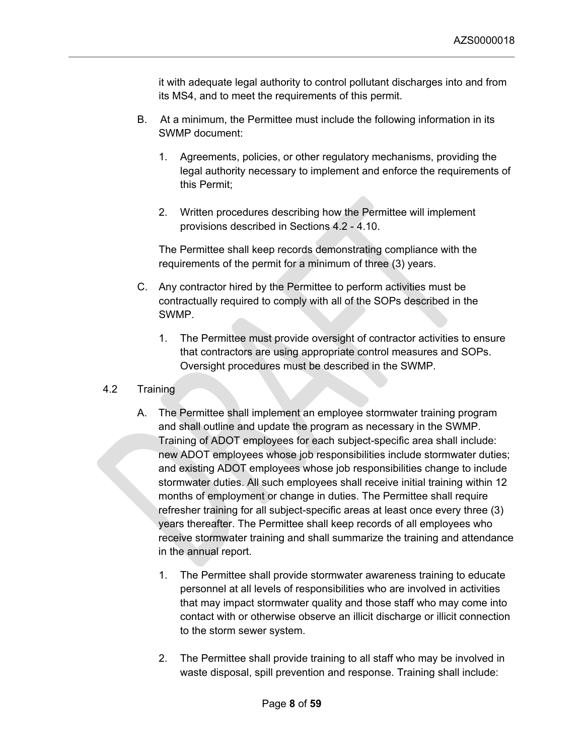it with adequate legal authority to control pollutant discharges into and from its MS4, and to meet the requirements of this permit.

- B. At a minimum, the Permittee must include the following information in its SWMP document:
	- 1. Agreements, policies, or other regulatory mechanisms, providing the legal authority necessary to implement and enforce the requirements of this Permit;
	- 2. Written procedures describing how the Permittee will implement provisions described in Sections 4.2 - 4.10.

The Permittee shall keep records demonstrating compliance with the requirements of the permit for a minimum of three (3) years.

- C. Any contractor hired by the Permittee to perform activities must be contractually required to comply with all of the SOPs described in the SWMP.
	- 1. The Permittee must provide oversight of contractor activities to ensure that contractors are using appropriate control measures and SOPs. Oversight procedures must be described in the SWMP.
- <span id="page-7-0"></span>4.2 Training
	- A. The Permittee shall implement an employee stormwater training program and shall outline and update the program as necessary in the SWMP. Training of ADOT employees for each subject-specific area shall include: new ADOT employees whose job responsibilities include stormwater duties; and existing ADOT employees whose job responsibilities change to include stormwater duties. All such employees shall receive initial training within 12 months of employment or change in duties. The Permittee shall require refresher training for all subject-specific areas at least once every three (3) years thereafter. The Permittee shall keep records of all employees who receive stormwater training and shall summarize the training and attendance in the annual report.
		- 1. The Permittee shall provide stormwater awareness training to educate personnel at all levels of responsibilities who are involved in activities that may impact stormwater quality and those staff who may come into contact with or otherwise observe an illicit discharge or illicit connection to the storm sewer system.
		- 2. The Permittee shall provide training to all staff who may be involved in waste disposal, spill prevention and response. Training shall include: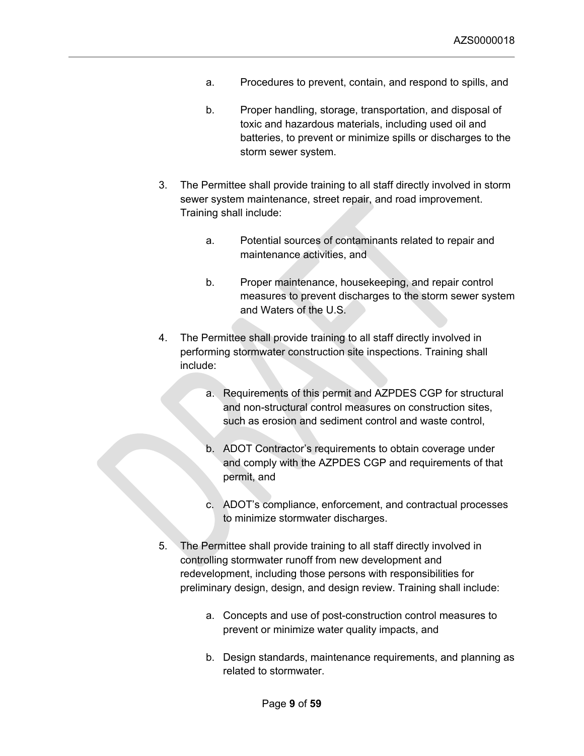- a. Procedures to prevent, contain, and respond to spills, and
- b. Proper handling, storage, transportation, and disposal of toxic and hazardous materials, including used oil and batteries, to prevent or minimize spills or discharges to the storm sewer system.
- 3. The Permittee shall provide training to all staff directly involved in storm sewer system maintenance, street repair, and road improvement. Training shall include:
	- a. Potential sources of contaminants related to repair and maintenance activities, and
	- b. Proper maintenance, housekeeping, and repair control measures to prevent discharges to the storm sewer system and Waters of the U.S.
- 4. The Permittee shall provide training to all staff directly involved in performing stormwater construction site inspections. Training shall include:
	- a. Requirements of this permit and AZPDES CGP for structural and non-structural control measures on construction sites, such as erosion and sediment control and waste control,
	- b. ADOT Contractor's requirements to obtain coverage under and comply with the AZPDES CGP and requirements of that permit, and
	- c. ADOT's compliance, enforcement, and contractual processes to minimize stormwater discharges.
- 5. The Permittee shall provide training to all staff directly involved in controlling stormwater runoff from new development and redevelopment, including those persons with responsibilities for preliminary design, design, and design review. Training shall include:
	- a. Concepts and use of post-construction control measures to prevent or minimize water quality impacts, and
	- b. Design standards, maintenance requirements, and planning as related to stormwater.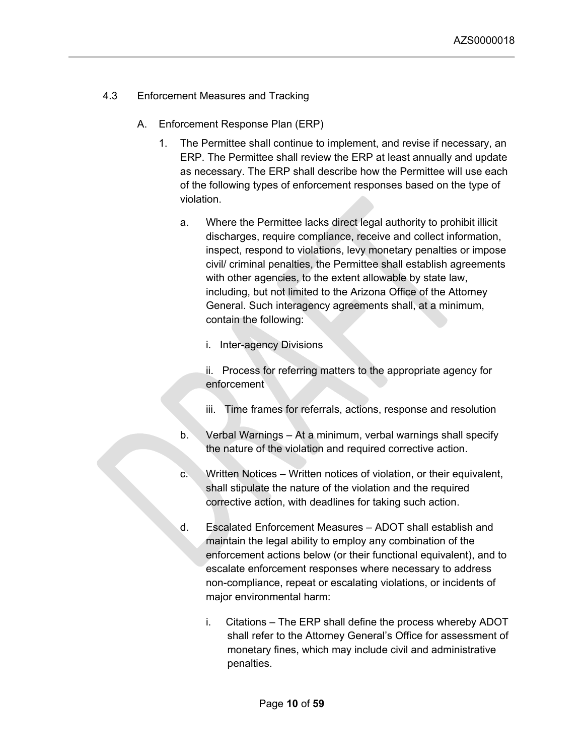- <span id="page-9-0"></span>4.3 Enforcement Measures and Tracking
	- A. Enforcement Response Plan (ERP)
		- 1. The Permittee shall continue to implement, and revise if necessary, an ERP. The Permittee shall review the ERP at least annually and update as necessary. The ERP shall describe how the Permittee will use each of the following types of enforcement responses based on the type of violation.
			- a. Where the Permittee lacks direct legal authority to prohibit illicit discharges, require compliance, receive and collect information, inspect, respond to violations, levy monetary penalties or impose civil/ criminal penalties, the Permittee shall establish agreements with other agencies, to the extent allowable by state law, including, but not limited to the Arizona Office of the Attorney General. Such interagency agreements shall, at a minimum, contain the following:
				- i. Inter-agency Divisions
				- ii. Process for referring matters to the appropriate agency for enforcement
				- iii. Time frames for referrals, actions, response and resolution
			- b. Verbal Warnings At a minimum, verbal warnings shall specify the nature of the violation and required corrective action.
			- c. Written Notices Written notices of violation, or their equivalent, shall stipulate the nature of the violation and the required corrective action, with deadlines for taking such action.
			- d. Escalated Enforcement Measures ADOT shall establish and maintain the legal ability to employ any combination of the enforcement actions below (or their functional equivalent), and to escalate enforcement responses where necessary to address non-compliance, repeat or escalating violations, or incidents of major environmental harm:
				- i. Citations The ERP shall define the process whereby ADOT shall refer to the Attorney General's Office for assessment of monetary fines, which may include civil and administrative penalties.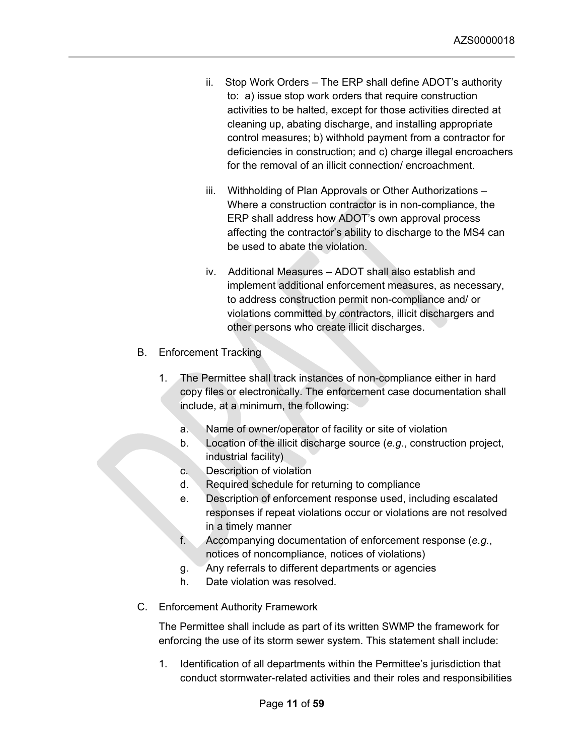- ii. Stop Work Orders The ERP shall define ADOT's authority to: a) issue stop work orders that require construction activities to be halted, except for those activities directed at cleaning up, abating discharge, and installing appropriate control measures; b) withhold payment from a contractor for deficiencies in construction; and c) charge illegal encroachers for the removal of an illicit connection/ encroachment.
- iii. Withholding of Plan Approvals or Other Authorizations Where a construction contractor is in non-compliance, the ERP shall address how ADOT's own approval process affecting the contractor's ability to discharge to the MS4 can be used to abate the violation.
- iv. Additional Measures ADOT shall also establish and implement additional enforcement measures, as necessary, to address construction permit non-compliance and/ or violations committed by contractors, illicit dischargers and other persons who create illicit discharges.
- B. Enforcement Tracking
	- 1. The Permittee shall track instances of non-compliance either in hard copy files or electronically. The enforcement case documentation shall include, at a minimum, the following:
		- a. Name of owner/operator of facility or site of violation
		- b. Location of the illicit discharge source (*e.g.*, construction project, industrial facility)
		- c. Description of violation
		- d. Required schedule for returning to compliance
		- e. Description of enforcement response used, including escalated responses if repeat violations occur or violations are not resolved in a timely manner
		- f. Accompanying documentation of enforcement response (*e.g.*, notices of noncompliance, notices of violations)
		- g. Any referrals to different departments or agencies
		- h. Date violation was resolved.
- C. Enforcement Authority Framework

The Permittee shall include as part of its written SWMP the framework for enforcing the use of its storm sewer system. This statement shall include:

1. Identification of all departments within the Permittee's jurisdiction that conduct stormwater-related activities and their roles and responsibilities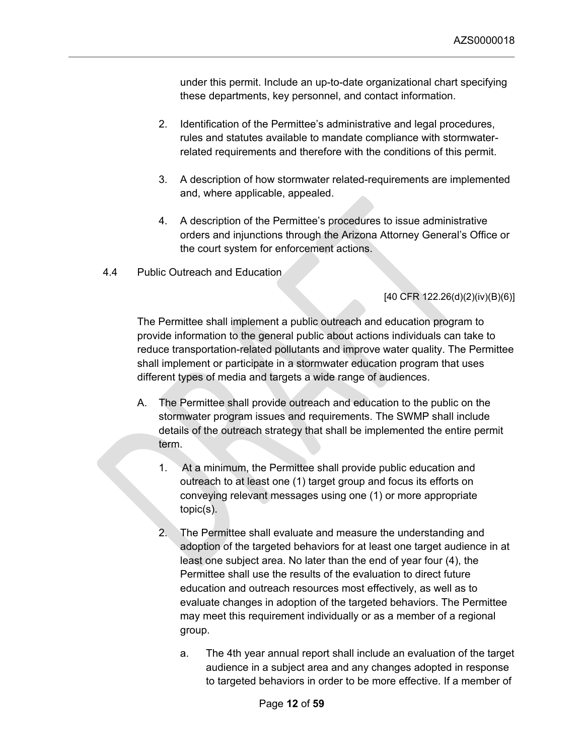under this permit. Include an up-to-date organizational chart specifying these departments, key personnel, and contact information.

- 2. Identification of the Permittee's administrative and legal procedures, rules and statutes available to mandate compliance with stormwaterrelated requirements and therefore with the conditions of this permit.
- 3. A description of how stormwater related-requirements are implemented and, where applicable, appealed.
- 4. A description of the Permittee's procedures to issue administrative orders and injunctions through the Arizona Attorney General's Office or the court system for enforcement actions.
- <span id="page-11-0"></span>4.4 Public Outreach and Education

## [40 CFR 122.26(d)(2)(iv)(B)(6)]

The Permittee shall implement a public outreach and education program to provide information to the general public about actions individuals can take to reduce transportation-related pollutants and improve water quality. The Permittee shall implement or participate in a stormwater education program that uses different types of media and targets a wide range of audiences.

- A. The Permittee shall provide outreach and education to the public on the stormwater program issues and requirements. The SWMP shall include details of the outreach strategy that shall be implemented the entire permit term.
	- 1. At a minimum, the Permittee shall provide public education and outreach to at least one (1) target group and focus its efforts on conveying relevant messages using one (1) or more appropriate topic(s).
	- 2. The Permittee shall evaluate and measure the understanding and adoption of the targeted behaviors for at least one target audience in at least one subject area. No later than the end of year four (4), the Permittee shall use the results of the evaluation to direct future education and outreach resources most effectively, as well as to evaluate changes in adoption of the targeted behaviors. The Permittee may meet this requirement individually or as a member of a regional group.
		- a. The 4th year annual report shall include an evaluation of the target audience in a subject area and any changes adopted in response to targeted behaviors in order to be more effective. If a member of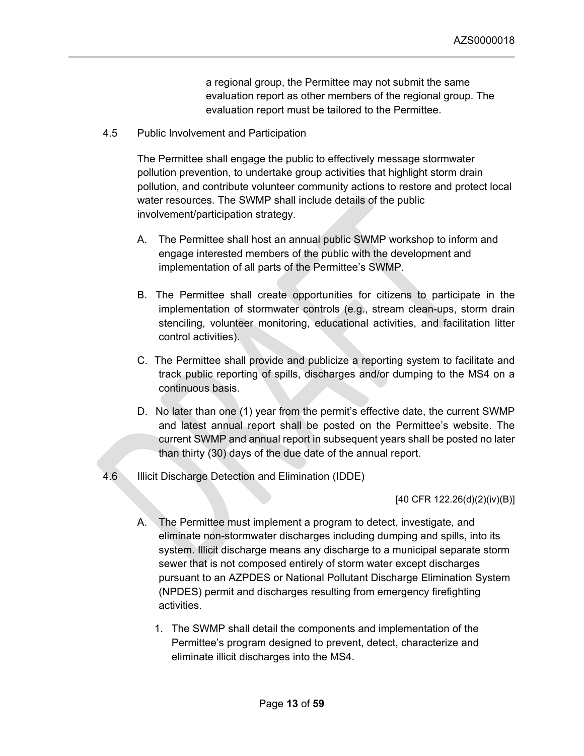a regional group, the Permittee may not submit the same evaluation report as other members of the regional group. The evaluation report must be tailored to the Permittee.

<span id="page-12-0"></span>4.5 Public Involvement and Participation

The Permittee shall engage the public to effectively message stormwater pollution prevention, to undertake group activities that highlight storm drain pollution, and contribute volunteer community actions to restore and protect local water resources. The SWMP shall include details of the public involvement/participation strategy.

- A. The Permittee shall host an annual public SWMP workshop to inform and engage interested members of the public with the development and implementation of all parts of the Permittee's SWMP.
- B. The Permittee shall create opportunities for citizens to participate in the implementation of stormwater controls (e.g., stream clean-ups, storm drain stenciling, volunteer monitoring, educational activities, and facilitation litter control activities).
- C. The Permittee shall provide and publicize a reporting system to facilitate and track public reporting of spills, discharges and/or dumping to the MS4 on a continuous basis.
- D. No later than one (1) year from the permit's effective date, the current SWMP and latest annual report shall be posted on the Permittee's website. The current SWMP and annual report in subsequent years shall be posted no later than thirty (30) days of the due date of the annual report.
- <span id="page-12-1"></span>4.6 Illicit Discharge Detection and Elimination (IDDE)

[40 CFR 122.26(d)(2)(iv)(B)]

- A. The Permittee must implement a program to detect, investigate, and eliminate non-stormwater discharges including dumping and spills, into its system. Illicit discharge means any discharge to a municipal separate storm sewer that is not composed entirely of storm water except discharges pursuant to an AZPDES or National Pollutant Discharge Elimination System (NPDES) permit and discharges resulting from emergency firefighting activities.
	- 1. The SWMP shall detail the components and implementation of the Permittee's program designed to prevent, detect, characterize and eliminate illicit discharges into the MS4.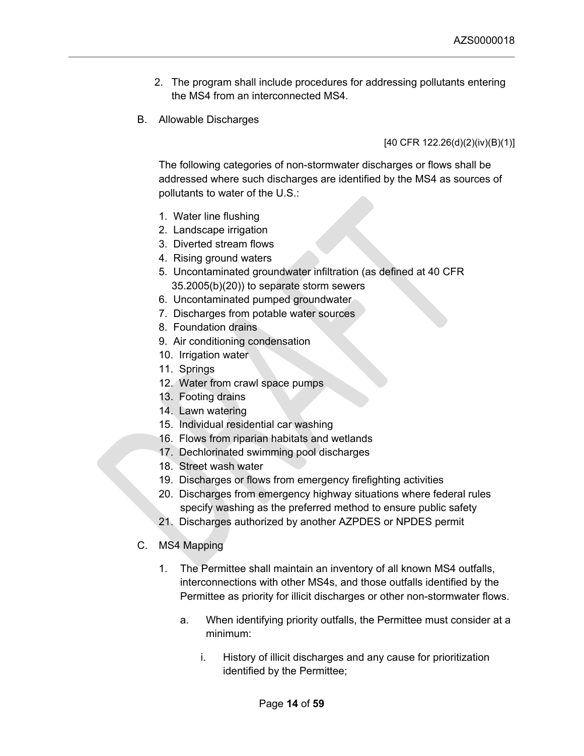- 2. The program shall include procedures for addressing pollutants entering the MS4 from an interconnected MS4.
- B. Allowable Discharges

[40 CFR 122.26(d)(2)(iv)(B)(1)]

The following categories of non-stormwater discharges or flows shall be addressed where such discharges are identified by the MS4 as sources of pollutants to water of the U.S.:

- 1. Water line flushing
- 2. Landscape irrigation
- 3. Diverted stream flows
- 4. Rising ground waters
- 5. Uncontaminated groundwater infiltration (as defined at 40 CFR 35.2005(b)(20)) to separate storm sewers
- 6. Uncontaminated pumped groundwater
- 7. Discharges from potable water sources
- 8. Foundation drains
- 9. Air conditioning condensation
- 10. Irrigation water
- 11. Springs
- 12. Water from crawl space pumps
- 13. Footing drains
- 14. Lawn watering
- 15. Individual residential car washing
- 16. Flows from riparian habitats and wetlands
- 17. Dechlorinated swimming pool discharges
- 18. Street wash water
- 19. Discharges or flows from emergency firefighting activities
- 20. Discharges from emergency highway situations where federal rules specify washing as the preferred method to ensure public safety
- 21. Discharges authorized by another AZPDES or NPDES permit
- C. MS4 Mapping
	- 1. The Permittee shall maintain an inventory of all known MS4 outfalls, interconnections with other MS4s, and those outfalls identified by the Permittee as priority for illicit discharges or other non-stormwater flows.
		- a. When identifying priority outfalls, the Permittee must consider at a minimum:
			- i. History of illicit discharges and any cause for prioritization identified by the Permittee;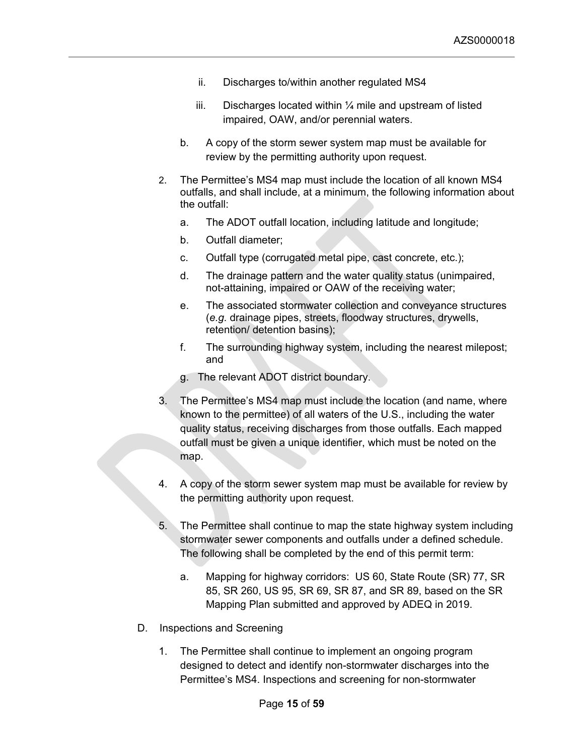- ii. Discharges to/within another regulated MS4
- iii. Discharges located within  $\frac{1}{4}$  mile and upstream of listed impaired, OAW, and/or perennial waters.
- b. A copy of the storm sewer system map must be available for review by the permitting authority upon request.
- 2. The Permittee's MS4 map must include the location of all known MS4 outfalls, and shall include, at a minimum, the following information about the outfall:
	- a. The ADOT outfall location, including latitude and longitude;
	- b. Outfall diameter;
	- c. Outfall type (corrugated metal pipe, cast concrete, etc.);
	- d. The drainage pattern and the water quality status (unimpaired, not-attaining, impaired or OAW of the receiving water;
	- e. The associated stormwater collection and conveyance structures (*e.g.* drainage pipes, streets, floodway structures, drywells, retention/ detention basins);
	- f. The surrounding highway system, including the nearest milepost; and
	- g. The relevant ADOT district boundary.
- 3. The Permittee's MS4 map must include the location (and name, where known to the permittee) of all waters of the U.S., including the water quality status, receiving discharges from those outfalls. Each mapped outfall must be given a unique identifier, which must be noted on the map.
- 4. A copy of the storm sewer system map must be available for review by the permitting authority upon request.
- 5. The Permittee shall continue to map the state highway system including stormwater sewer components and outfalls under a defined schedule. The following shall be completed by the end of this permit term:
	- a. Mapping for highway corridors: US 60, State Route (SR) 77, SR 85, SR 260, US 95, SR 69, SR 87, and SR 89, based on the SR Mapping Plan submitted and approved by ADEQ in 2019.
- D. Inspections and Screening
	- 1. The Permittee shall continue to implement an ongoing program designed to detect and identify non-stormwater discharges into the Permittee's MS4. Inspections and screening for non-stormwater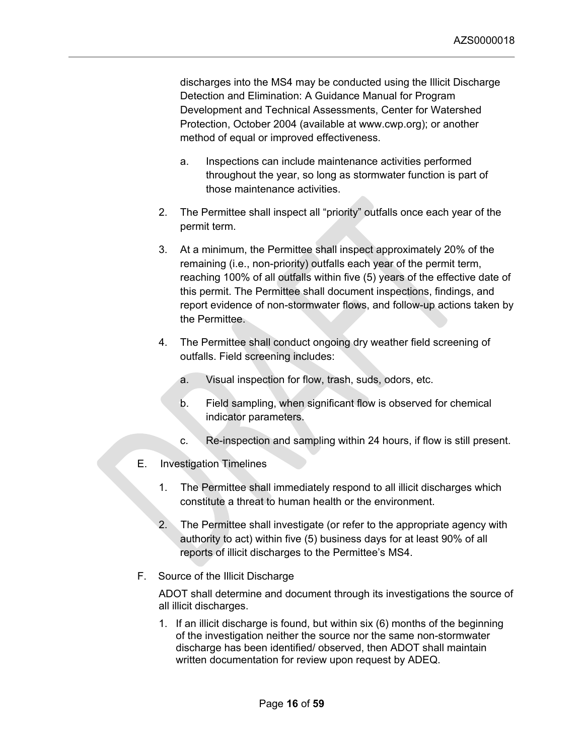discharges into the MS4 may be conducted using the Illicit Discharge Detection and Elimination: A Guidance Manual for Program Development and Technical Assessments, Center for Watershed Protection, October 2004 (available at www.cwp.org); or another method of equal or improved effectiveness.

- a. Inspections can include maintenance activities performed throughout the year, so long as stormwater function is part of those maintenance activities.
- 2. The Permittee shall inspect all "priority" outfalls once each year of the permit term.
- 3. At a minimum, the Permittee shall inspect approximately 20% of the remaining (i.e., non-priority) outfalls each year of the permit term, reaching 100% of all outfalls within five (5) years of the effective date of this permit. The Permittee shall document inspections, findings, and report evidence of non-stormwater flows, and follow-up actions taken by the Permittee.
- 4. The Permittee shall conduct ongoing dry weather field screening of outfalls. Field screening includes:
	- a. Visual inspection for flow, trash, suds, odors, etc.
	- b. Field sampling, when significant flow is observed for chemical indicator parameters.
	- c. Re-inspection and sampling within 24 hours, if flow is still present.
- E. Investigation Timelines
	- 1. The Permittee shall immediately respond to all illicit discharges which constitute a threat to human health or the environment.
	- 2. The Permittee shall investigate (or refer to the appropriate agency with authority to act) within five (5) business days for at least 90% of all reports of illicit discharges to the Permittee's MS4.
- F. Source of the Illicit Discharge

ADOT shall determine and document through its investigations the source of all illicit discharges.

1. If an illicit discharge is found, but within six (6) months of the beginning of the investigation neither the source nor the same non-stormwater discharge has been identified/ observed, then ADOT shall maintain written documentation for review upon request by ADEQ.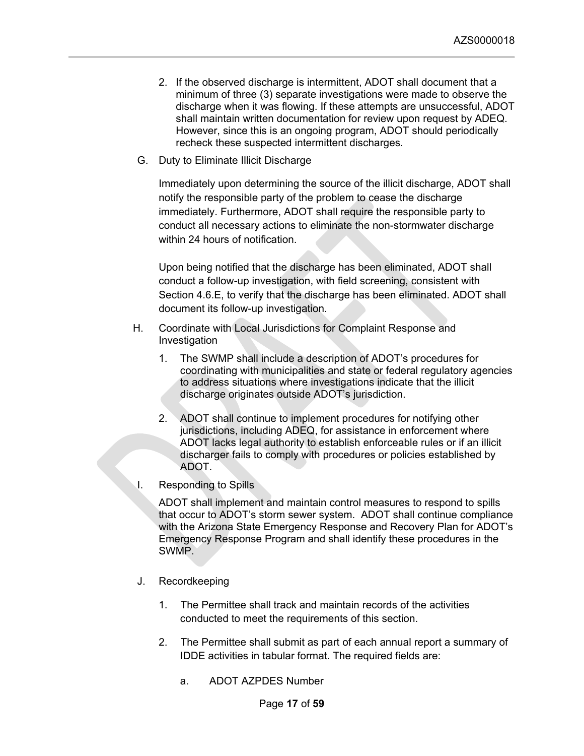- 2. If the observed discharge is intermittent, ADOT shall document that a minimum of three (3) separate investigations were made to observe the discharge when it was flowing. If these attempts are unsuccessful, ADOT shall maintain written documentation for review upon request by ADEQ. However, since this is an ongoing program, ADOT should periodically recheck these suspected intermittent discharges.
- G. Duty to Eliminate Illicit Discharge

Immediately upon determining the source of the illicit discharge, ADOT shall notify the responsible party of the problem to cease the discharge immediately. Furthermore, ADOT shall require the responsible party to conduct all necessary actions to eliminate the non-stormwater discharge within 24 hours of notification

Upon being notified that the discharge has been eliminated, ADOT shall conduct a follow-up investigation, with field screening, consistent with Section 4.6.E, to verify that the discharge has been eliminated. ADOT shall document its follow-up investigation.

- H. Coordinate with Local Jurisdictions for Complaint Response and Investigation
	- 1. The SWMP shall include a description of ADOT's procedures for coordinating with municipalities and state or federal regulatory agencies to address situations where investigations indicate that the illicit discharge originates outside ADOT's jurisdiction.
	- 2. ADOT shall continue to implement procedures for notifying other jurisdictions, including ADEQ, for assistance in enforcement where ADOT lacks legal authority to establish enforceable rules or if an illicit discharger fails to comply with procedures or policies established by ADOT.
- I. Responding to Spills

ADOT shall implement and maintain control measures to respond to spills that occur to ADOT's storm sewer system. ADOT shall continue compliance with the Arizona State Emergency Response and Recovery Plan for ADOT's Emergency Response Program and shall identify these procedures in the SWMP.

- J. Recordkeeping
	- 1. The Permittee shall track and maintain records of the activities conducted to meet the requirements of this section.
	- 2. The Permittee shall submit as part of each annual report a summary of IDDE activities in tabular format. The required fields are:
		- a. ADOT AZPDES Number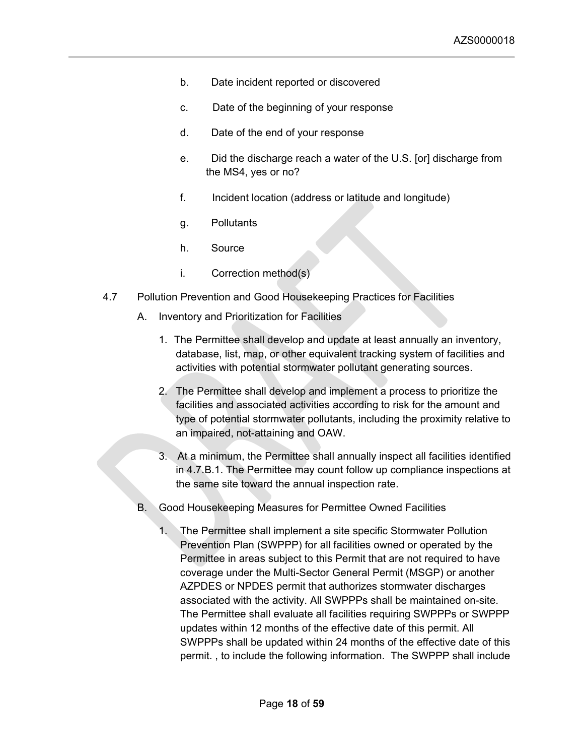- b. Date incident reported or discovered
- c. Date of the beginning of your response
- d. Date of the end of your response
- e. Did the discharge reach a water of the U.S. [or] discharge from the MS4, yes or no?
- f. Incident location (address or latitude and longitude)
- g. Pollutants
- h. Source
- i. Correction method(s)
- <span id="page-17-0"></span>4.7 Pollution Prevention and Good Housekeeping Practices for Facilities
	- A. Inventory and Prioritization for Facilities
		- 1. The Permittee shall develop and update at least annually an inventory, database, list, map, or other equivalent tracking system of facilities and activities with potential stormwater pollutant generating sources.
		- 2. The Permittee shall develop and implement a process to prioritize the facilities and associated activities according to risk for the amount and type of potential stormwater pollutants, including the proximity relative to an impaired, not-attaining and OAW.
		- 3. At a minimum, the Permittee shall annually inspect all facilities identified in 4.7.B.1. The Permittee may count follow up compliance inspections at the same site toward the annual inspection rate.
	- B. Good Housekeeping Measures for Permittee Owned Facilities
		- 1. The Permittee shall implement a site specific Stormwater Pollution Prevention Plan (SWPPP) for all facilities owned or operated by the Permittee in areas subject to this Permit that are not required to have coverage under the Multi-Sector General Permit (MSGP) or another AZPDES or NPDES permit that authorizes stormwater discharges associated with the activity. All SWPPPs shall be maintained on-site. The Permittee shall evaluate all facilities requiring SWPPPs or SWPPP updates within 12 months of the effective date of this permit. All SWPPPs shall be updated within 24 months of the effective date of this permit. , to include the following information. The SWPPP shall include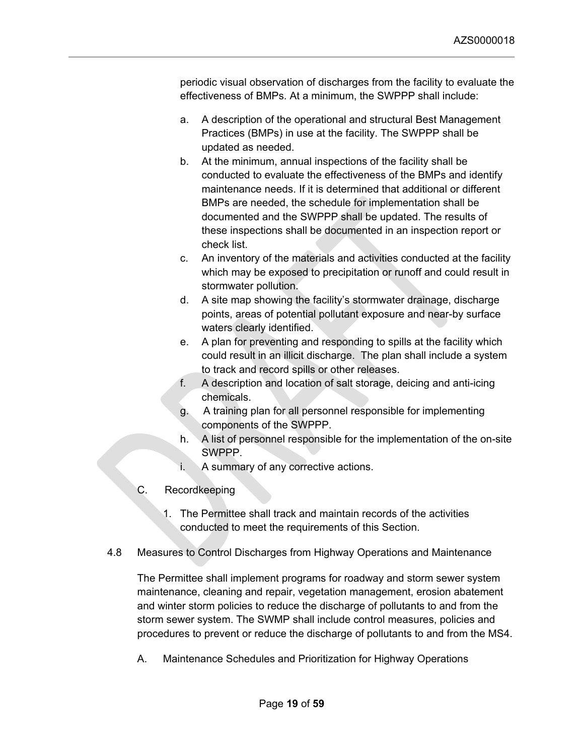periodic visual observation of discharges from the facility to evaluate the effectiveness of BMPs. At a minimum, the SWPPP shall include:

- a. A description of the operational and structural Best Management Practices (BMPs) in use at the facility. The SWPPP shall be updated as needed.
- b. At the minimum, annual inspections of the facility shall be conducted to evaluate the effectiveness of the BMPs and identify maintenance needs. If it is determined that additional or different BMPs are needed, the schedule for implementation shall be documented and the SWPPP shall be updated. The results of these inspections shall be documented in an inspection report or check list.
- c. An inventory of the materials and activities conducted at the facility which may be exposed to precipitation or runoff and could result in stormwater pollution.
- d. A site map showing the facility's stormwater drainage, discharge points, areas of potential pollutant exposure and near-by surface waters clearly identified.
- e. A plan for preventing and responding to spills at the facility which could result in an illicit discharge. The plan shall include a system to track and record spills or other releases.
- f. A description and location of salt storage, deicing and anti-icing chemicals.
- g. A training plan for all personnel responsible for implementing components of the SWPPP.
- h. A list of personnel responsible for the implementation of the on-site SWPPP.
- i. A summary of any corrective actions.
- C. Recordkeeping
	- 1. The Permittee shall track and maintain records of the activities conducted to meet the requirements of this Section.
- <span id="page-18-0"></span>4.8 Measures to Control Discharges from Highway Operations and Maintenance

The Permittee shall implement programs for roadway and storm sewer system maintenance, cleaning and repair, vegetation management, erosion abatement and winter storm policies to reduce the discharge of pollutants to and from the storm sewer system. The SWMP shall include control measures, policies and procedures to prevent or reduce the discharge of pollutants to and from the MS4.

A. Maintenance Schedules and Prioritization for Highway Operations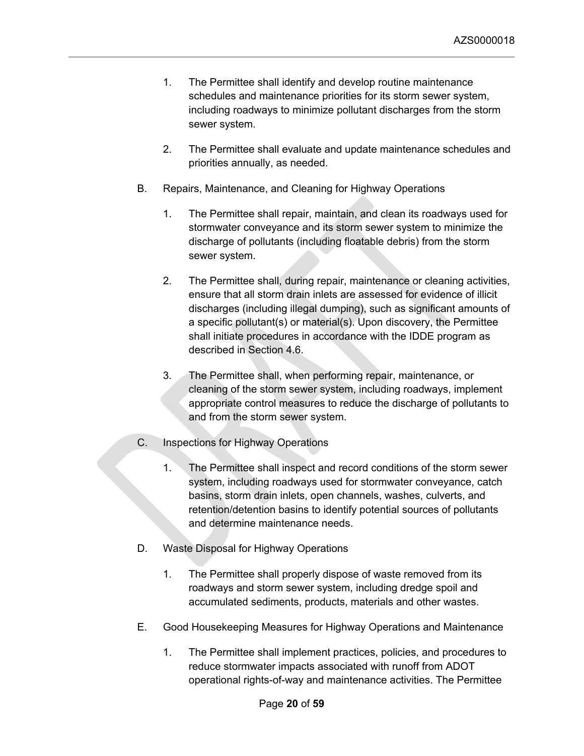- 1. The Permittee shall identify and develop routine maintenance schedules and maintenance priorities for its storm sewer system, including roadways to minimize pollutant discharges from the storm sewer system.
- 2. The Permittee shall evaluate and update maintenance schedules and priorities annually, as needed.
- B. Repairs, Maintenance, and Cleaning for Highway Operations
	- 1. The Permittee shall repair, maintain, and clean its roadways used for stormwater conveyance and its storm sewer system to minimize the discharge of pollutants (including floatable debris) from the storm sewer system.
	- 2. The Permittee shall, during repair, maintenance or cleaning activities, ensure that all storm drain inlets are assessed for evidence of illicit discharges (including illegal dumping), such as significant amounts of a specific pollutant(s) or material(s). Upon discovery, the Permittee shall initiate procedures in accordance with the IDDE program as described in Section 4.6.
	- 3. The Permittee shall, when performing repair, maintenance, or cleaning of the storm sewer system, including roadways, implement appropriate control measures to reduce the discharge of pollutants to and from the storm sewer system.
- C. Inspections for Highway Operations
	- 1. The Permittee shall inspect and record conditions of the storm sewer system, including roadways used for stormwater conveyance, catch basins, storm drain inlets, open channels, washes, culverts, and retention/detention basins to identify potential sources of pollutants and determine maintenance needs.
- D. Waste Disposal for Highway Operations
	- 1. The Permittee shall properly dispose of waste removed from its roadways and storm sewer system, including dredge spoil and accumulated sediments, products, materials and other wastes.
- E. Good Housekeeping Measures for Highway Operations and Maintenance
	- 1. The Permittee shall implement practices, policies, and procedures to reduce stormwater impacts associated with runoff from ADOT operational rights-of-way and maintenance activities. The Permittee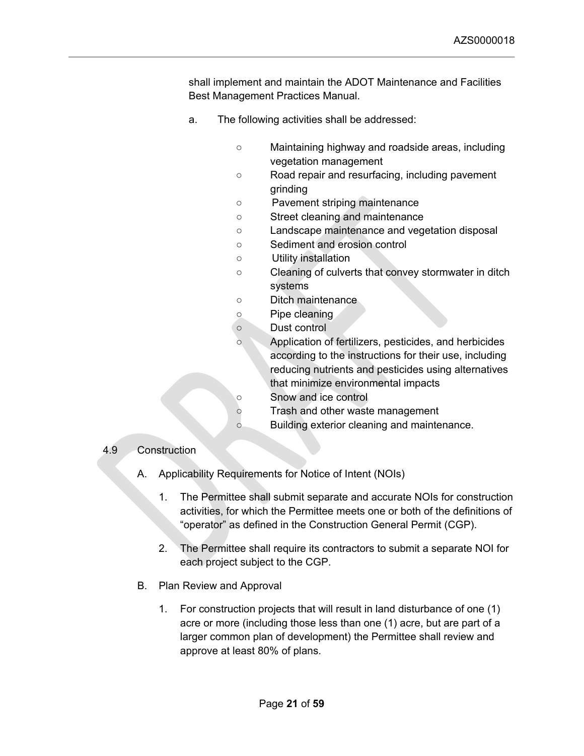shall implement and maintain the ADOT Maintenance and Facilities Best Management Practices Manual.

- a. The following activities shall be addressed:
	- Maintaining highway and roadside areas, including vegetation management
	- Road repair and resurfacing, including pavement grinding
	- Pavement striping maintenance
	- Street cleaning and maintenance
	- Landscape maintenance and vegetation disposal
	- Sediment and erosion control
	- Utility installation
	- Cleaning of culverts that convey stormwater in ditch systems
	- Ditch maintenance
	- Pipe cleaning
	- Dust control
	- Application of fertilizers, pesticides, and herbicides according to the instructions for their use, including reducing nutrients and pesticides using alternatives that minimize environmental impacts ○ Snow and ice control
	-
	- Trash and other waste management
	- Building exterior cleaning and maintenance.

## <span id="page-20-0"></span>4.9 Construction

- A. Applicability Requirements for Notice of Intent (NOIs)
	- 1. The Permittee shall submit separate and accurate NOIs for construction activities, for which the Permittee meets one or both of the definitions of "operator" as defined in the Construction General Permit (CGP).
	- 2. The Permittee shall require its contractors to submit a separate NOI for each project subject to the CGP.
- B. Plan Review and Approval
	- 1. For construction projects that will result in land disturbance of one (1) acre or more (including those less than one (1) acre, but are part of a larger common plan of development) the Permittee shall review and approve at least 80% of plans.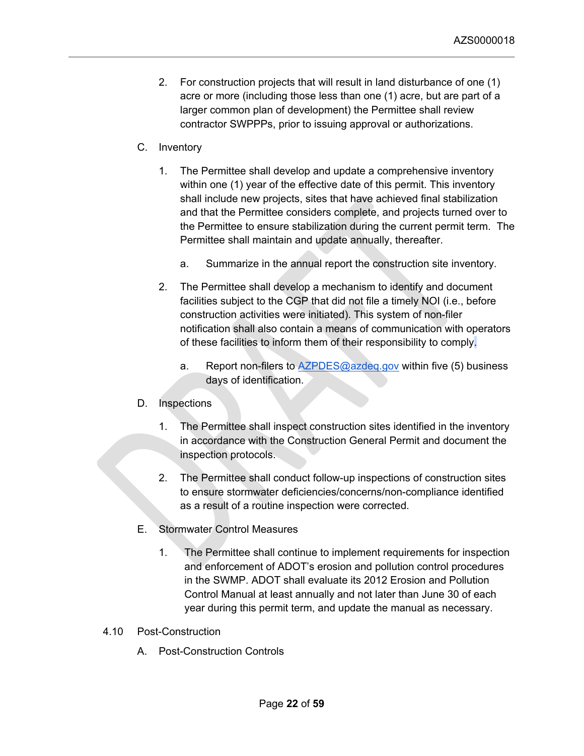- 2. For construction projects that will result in land disturbance of one (1) acre or more (including those less than one (1) acre, but are part of a larger common plan of development) the Permittee shall review contractor SWPPPs, prior to issuing approval or authorizations.
- C. Inventory
	- 1. The Permittee shall develop and update a comprehensive inventory within one (1) year of the effective date of this permit. This inventory shall include new projects, sites that have achieved final stabilization and that the Permittee considers complete, and projects turned over to the Permittee to ensure stabilization during the current permit term. The Permittee shall maintain and update annually, thereafter.
		- a. Summarize in the annual report the construction site inventory.
	- 2. The Permittee shall develop a mechanism to identify and document facilities subject to the CGP that did not file a timely NOI (i.e., before construction activities were initiated). This system of non-filer notification shall also contain a means of communication with operators of these facilities to inform them of their responsibility to comply.
		- a. Report non-filers to  $AZPDES@azdeg.gov$  within five (5) business days of identification.

# D. Inspections

- 1. The Permittee shall inspect construction sites identified in the inventory in accordance with the Construction General Permit and document the inspection protocols.
- 2. The Permittee shall conduct follow-up inspections of construction sites to ensure stormwater deficiencies/concerns/non-compliance identified as a result of a routine inspection were corrected.
- E. Stormwater Control Measures
	- 1. The Permittee shall continue to implement requirements for inspection and enforcement of ADOT's erosion and pollution control procedures in the SWMP. ADOT shall evaluate its 2012 Erosion and Pollution Control Manual at least annually and not later than June 30 of each year during this permit term, and update the manual as necessary.
- <span id="page-21-0"></span>4.10 Post-Construction
	- A. Post-Construction Controls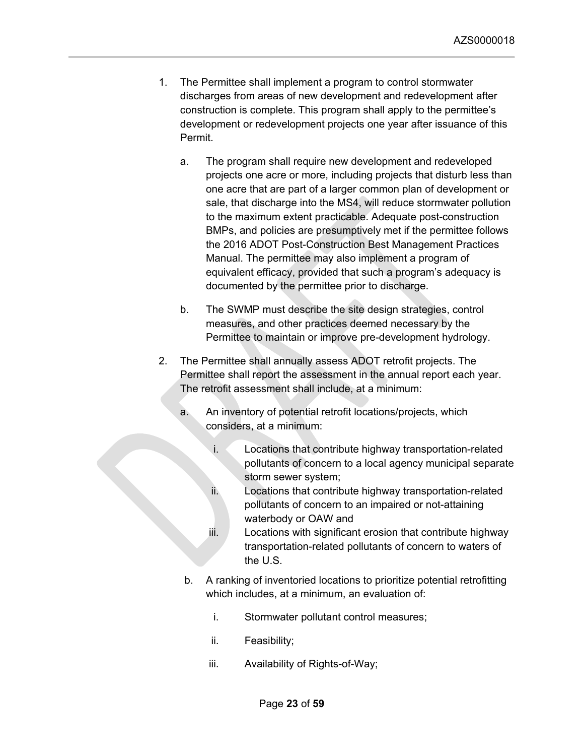- 1. The Permittee shall implement a program to control stormwater discharges from areas of new development and redevelopment after construction is complete. This program shall apply to the permittee's development or redevelopment projects one year after issuance of this Permit.
	- a. The program shall require new development and redeveloped projects one acre or more, including projects that disturb less than one acre that are part of a larger common plan of development or sale, that discharge into the MS4, will reduce stormwater pollution to the maximum extent practicable. Adequate post-construction BMPs, and policies are presumptively met if the permittee follows the 2016 ADOT Post-Construction Best Management Practices Manual. The permittee may also implement a program of equivalent efficacy, provided that such a program's adequacy is documented by the permittee prior to discharge.
	- b. The SWMP must describe the site design strategies, control measures, and other practices deemed necessary by the Permittee to maintain or improve pre-development hydrology.
- 2. The Permittee shall annually assess ADOT retrofit projects. The Permittee shall report the assessment in the annual report each year. The retrofit assessment shall include, at a minimum:
	- a. An inventory of potential retrofit locations/projects, which considers, at a minimum:
		- i. Locations that contribute highway transportation-related pollutants of concern to a local agency municipal separate storm sewer system;
		- ii. Locations that contribute highway transportation-related pollutants of concern to an impaired or not-attaining waterbody or OAW and
		- iii. Locations with significant erosion that contribute highway transportation-related pollutants of concern to waters of the U.S.
	- b. A ranking of inventoried locations to prioritize potential retrofitting which includes, at a minimum, an evaluation of:
		- i. Stormwater pollutant control measures;
		- ii. Feasibility;
		- iii. Availability of Rights-of-Way;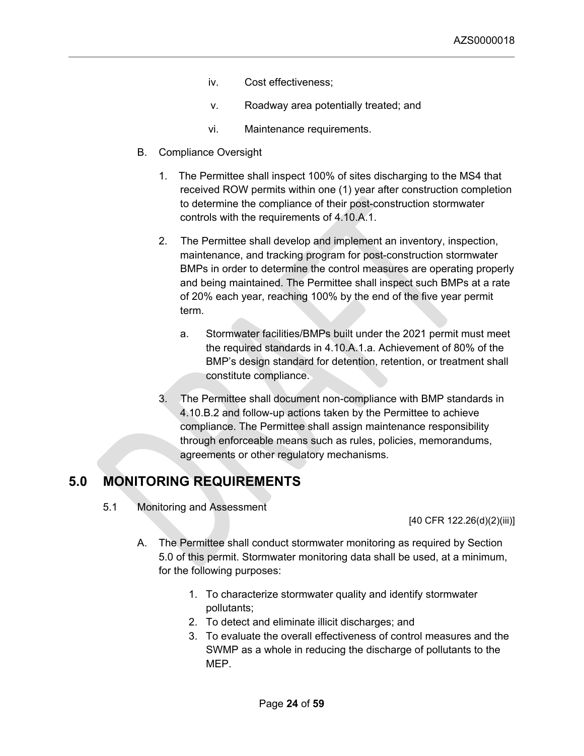- iv. Cost effectiveness;
- v. Roadway area potentially treated; and
- vi. Maintenance requirements.
- B. Compliance Oversight
	- 1. The Permittee shall inspect 100% of sites discharging to the MS4 that received ROW permits within one (1) year after construction completion to determine the compliance of their post-construction stormwater controls with the requirements of 4.10.A.1.
	- 2. The Permittee shall develop and implement an inventory, inspection, maintenance, and tracking program for post-construction stormwater BMPs in order to determine the control measures are operating properly and being maintained. The Permittee shall inspect such BMPs at a rate of 20% each year, reaching 100% by the end of the five year permit term.
		- a. Stormwater facilities/BMPs built under the 2021 permit must meet the required standards in 4.10.A.1.a. Achievement of 80% of the BMP's design standard for detention, retention, or treatment shall constitute compliance.
	- 3. The Permittee shall document non-compliance with BMP standards in 4.10.B.2 and follow-up actions taken by the Permittee to achieve compliance. The Permittee shall assign maintenance responsibility through enforceable means such as rules, policies, memorandums, agreements or other regulatory mechanisms.

# <span id="page-23-1"></span><span id="page-23-0"></span>**5.0 MONITORING REQUIREMENTS**

5.1 Monitoring and Assessment

[40 CFR 122.26(d)(2)(iii)]

- A. The Permittee shall conduct stormwater monitoring as required by Section 5.0 of this permit. Stormwater monitoring data shall be used, at a minimum, for the following purposes:
	- 1. To characterize stormwater quality and identify stormwater pollutants;
	- 2. To detect and eliminate illicit discharges; and
	- 3. To evaluate the overall effectiveness of control measures and the SWMP as a whole in reducing the discharge of pollutants to the MEP.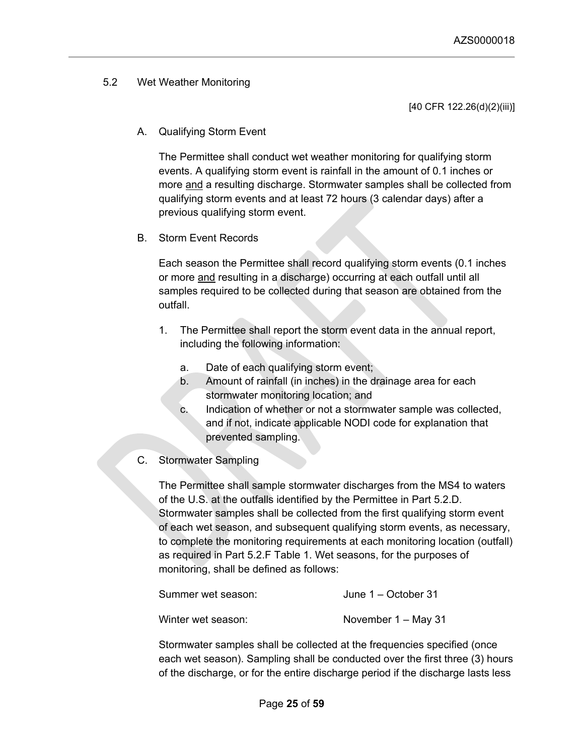# <span id="page-24-0"></span>5.2 Wet Weather Monitoring

[40 CFR 122.26(d)(2)(iii)]

A. Qualifying Storm Event

The Permittee shall conduct wet weather monitoring for qualifying storm events. A qualifying storm event is rainfall in the amount of 0.1 inches or more and a resulting discharge. Stormwater samples shall be collected from qualifying storm events and at least 72 hours (3 calendar days) after a previous qualifying storm event.

## B. Storm Event Records

Each season the Permittee shall record qualifying storm events (0.1 inches or more and resulting in a discharge) occurring at each outfall until all samples required to be collected during that season are obtained from the outfall.

- 1. The Permittee shall report the storm event data in the annual report, including the following information:
	- a. Date of each qualifying storm event;
	- b. Amount of rainfall (in inches) in the drainage area for each stormwater monitoring location; and
	- c. Indication of whether or not a stormwater sample was collected, and if not, indicate applicable NODI code for explanation that prevented sampling.
- C. Stormwater Sampling

The Permittee shall sample stormwater discharges from the MS4 to waters of the U.S. at the outfalls identified by the Permittee in Part 5.2.D. Stormwater samples shall be collected from the first qualifying storm event of each wet season, and subsequent qualifying storm events, as necessary, to complete the monitoring requirements at each monitoring location (outfall) as required in Part 5.2.F Table 1. Wet seasons, for the purposes of monitoring, shall be defined as follows:

| Summer wet season: | June $1 -$ October 31 |
|--------------------|-----------------------|
| Winter wet season: | November $1 -$ May 31 |

Stormwater samples shall be collected at the frequencies specified (once each wet season). Sampling shall be conducted over the first three (3) hours of the discharge, or for the entire discharge period if the discharge lasts less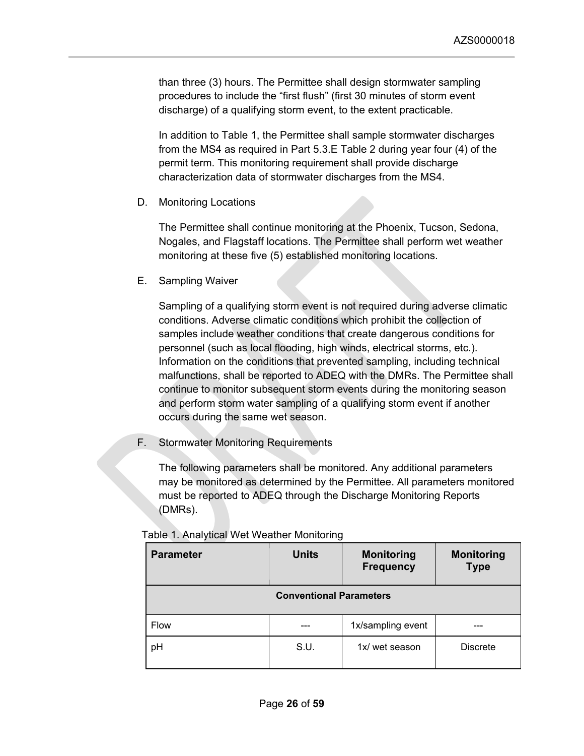than three (3) hours. The Permittee shall design stormwater sampling procedures to include the "first flush" (first 30 minutes of storm event discharge) of a qualifying storm event, to the extent practicable.

In addition to Table 1, the Permittee shall sample stormwater discharges from the MS4 as required in Part 5.3.E Table 2 during year four (4) of the permit term. This monitoring requirement shall provide discharge characterization data of stormwater discharges from the MS4.

D. Monitoring Locations

The Permittee shall continue monitoring at the Phoenix, Tucson, Sedona, Nogales, and Flagstaff locations. The Permittee shall perform wet weather monitoring at these five (5) established monitoring locations.

E. Sampling Waiver

Sampling of a qualifying storm event is not required during adverse climatic conditions. Adverse climatic conditions which prohibit the collection of samples include weather conditions that create dangerous conditions for personnel (such as local flooding, high winds, electrical storms, etc.). Information on the conditions that prevented sampling, including technical malfunctions, shall be reported to ADEQ with the DMRs. The Permittee shall continue to monitor subsequent storm events during the monitoring season and perform storm water sampling of a qualifying storm event if another occurs during the same wet season.

F. Stormwater Monitoring Requirements

The following parameters shall be monitored. Any additional parameters may be monitored as determined by the Permittee. All parameters monitored must be reported to ADEQ through the Discharge Monitoring Reports (DMRs).

| <b>Parameter</b>               | <b>Units</b> | <b>Monitoring</b><br><b>Frequency</b> | <b>Monitoring</b><br><b>Type</b> |
|--------------------------------|--------------|---------------------------------------|----------------------------------|
| <b>Conventional Parameters</b> |              |                                       |                                  |
| <b>Flow</b>                    |              | 1x/sampling event                     |                                  |
| pH                             | S.U.         | 1x/ wet season                        | <b>Discrete</b>                  |

|  |  |  |  | Table 1. Analytical Wet Weather Monitoring |
|--|--|--|--|--------------------------------------------|
|--|--|--|--|--------------------------------------------|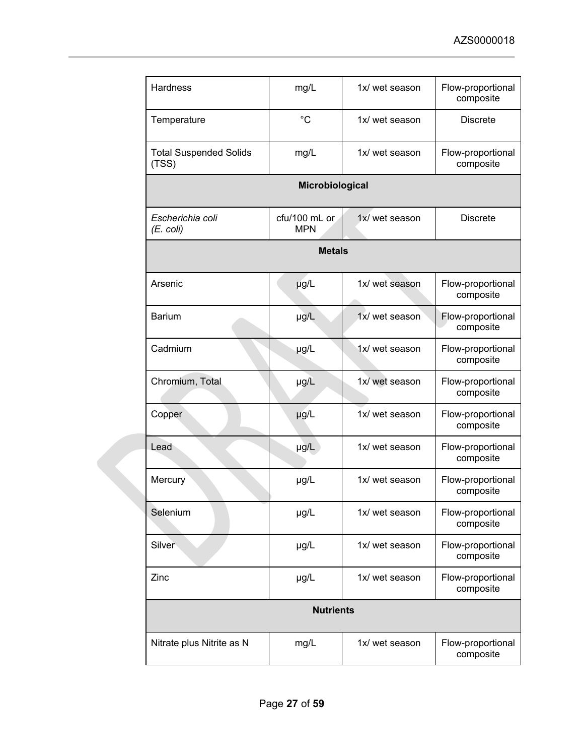| <b>Hardness</b>                        | mg/L                        | 1x/ wet season | Flow-proportional<br>composite |  |
|----------------------------------------|-----------------------------|----------------|--------------------------------|--|
| Temperature                            | $^{\circ}C$                 | 1x/ wet season | <b>Discrete</b>                |  |
| <b>Total Suspended Solids</b><br>(TSS) | mg/L                        | 1x/ wet season | Flow-proportional<br>composite |  |
|                                        | Microbiological             |                |                                |  |
| Escherichia coli<br>$(E.$ coli)        | cfu/100 mL or<br><b>MPN</b> | 1x/ wet season | <b>Discrete</b>                |  |
|                                        | <b>Metals</b>               |                |                                |  |
| Arsenic                                | µg/L                        | 1x/ wet season | Flow-proportional<br>composite |  |
| <b>Barium</b>                          | µg/L                        | 1x/ wet season | Flow-proportional<br>composite |  |
| Cadmium                                | µg/L                        | 1x/ wet season | Flow-proportional<br>composite |  |
| Chromium, Total                        | µg/L                        | 1x/ wet season | Flow-proportional<br>composite |  |
| Copper                                 | $\mu$ g/L                   | 1x/ wet season | Flow-proportional<br>composite |  |
| Lead                                   | $\mu$ g/L                   | 1x/ wet season | Flow-proportional<br>composite |  |
| Mercury                                | µg/L                        | 1x/ wet season | Flow-proportional<br>composite |  |
| Selenium                               | µg/L                        | 1x/ wet season | Flow-proportional<br>composite |  |
| Silver                                 | µg/L                        | 1x/ wet season | Flow-proportional<br>composite |  |
| Zinc                                   | µg/L                        | 1x/ wet season | Flow-proportional<br>composite |  |
| <b>Nutrients</b>                       |                             |                |                                |  |
| Nitrate plus Nitrite as N              | mg/L                        | 1x/ wet season | Flow-proportional<br>composite |  |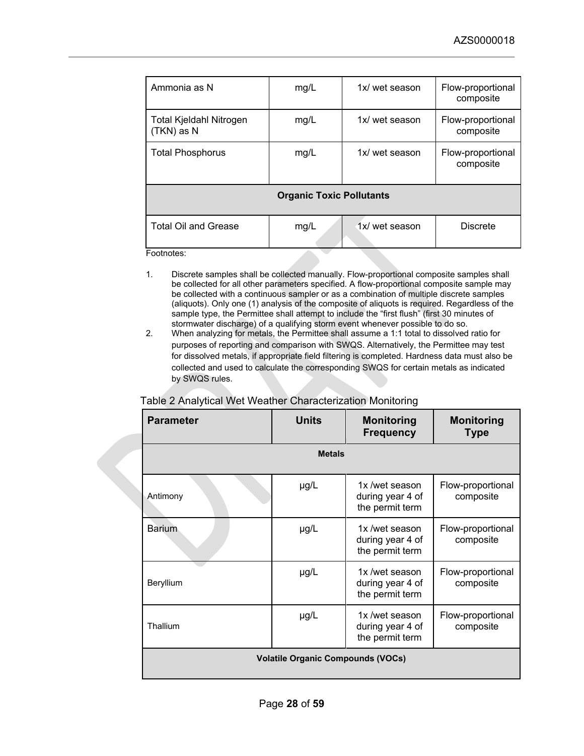| Ammonia as N                          | mg/L                            | 1x/ wet season | Flow-proportional<br>composite |
|---------------------------------------|---------------------------------|----------------|--------------------------------|
| Total Kjeldahl Nitrogen<br>(TKN) as N | mg/L                            | 1x/ wet season | Flow-proportional<br>composite |
| <b>Total Phosphorus</b>               | mg/L                            | 1x/ wet season | Flow-proportional<br>composite |
|                                       | <b>Organic Toxic Pollutants</b> |                |                                |
| <b>Total Oil and Grease</b>           | mg/L                            | 1x/ wet season | <b>Discrete</b>                |
| Footnotes:                            |                                 |                |                                |

- 1. Discrete samples shall be collected manually. Flow-proportional composite samples shall be collected for all other parameters specified. A flow-proportional composite sample may be collected with a continuous sampler or as a combination of multiple discrete samples (aliquots). Only one (1) analysis of the composite of aliquots is required. Regardless of the sample type, the Permittee shall attempt to include the "first flush" (first 30 minutes of stormwater discharge) of a qualifying storm event whenever possible to do so.
- 2. When analyzing for metals, the Permittee shall assume a 1:1 total to dissolved ratio for purposes of reporting and comparison with SWQS. Alternatively, the Permittee may test for dissolved metals, if appropriate field filtering is completed. Hardness data must also be collected and used to calculate the corresponding SWQS for certain metals as indicated by SWQS rules.

| <b>Parameter</b> | <b>Units</b>                             | <b>Monitoring</b><br><b>Frequency</b>                 | <b>Monitoring</b><br><b>Type</b> |
|------------------|------------------------------------------|-------------------------------------------------------|----------------------------------|
|                  | <b>Metals</b>                            |                                                       |                                  |
| Antimony         | µg/L                                     | 1x /wet season<br>during year 4 of<br>the permit term | Flow-proportional<br>composite   |
| <b>Barium</b>    | $\mu$ g/L                                | 1x /wet season<br>during year 4 of<br>the permit term | Flow-proportional<br>composite   |
| Beryllium        | $\mu$ g/L                                | 1x /wet season<br>during year 4 of<br>the permit term | Flow-proportional<br>composite   |
| Thallium         | µg/L                                     | 1x /wet season<br>during year 4 of<br>the permit term | Flow-proportional<br>composite   |
|                  | <b>Volatile Organic Compounds (VOCs)</b> |                                                       |                                  |

## Table 2 Analytical Wet Weather Characterization Monitoring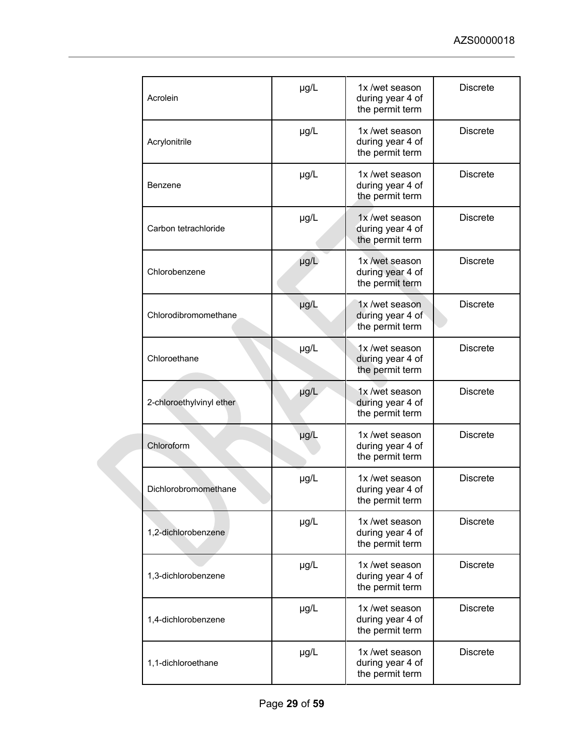| Acrolein                 | µg/L      | 1x/wet season<br>during year 4 of<br>the permit term  | <b>Discrete</b> |
|--------------------------|-----------|-------------------------------------------------------|-----------------|
| Acrylonitrile            | µg/L      | 1x /wet season<br>during year 4 of<br>the permit term | <b>Discrete</b> |
| Benzene                  | µg/L      | 1x /wet season<br>during year 4 of<br>the permit term | <b>Discrete</b> |
| Carbon tetrachloride     | µg/L      | 1x /wet season<br>during year 4 of<br>the permit term | <b>Discrete</b> |
| Chlorobenzene            | µg/L      | 1x /wet season<br>during year 4 of<br>the permit term | <b>Discrete</b> |
| Chlorodibromomethane     | µg/L      | 1x /wet season<br>during year 4 of<br>the permit term | <b>Discrete</b> |
| Chloroethane             | µg/L      | 1x /wet season<br>during year 4 of<br>the permit term | <b>Discrete</b> |
| 2-chloroethylvinyl ether | µg/L      | 1x /wet season<br>during year 4 of<br>the permit term | <b>Discrete</b> |
| Chloroform               | µg/L      | 1x /wet season<br>during year 4 of<br>the permit term | <b>Discrete</b> |
| Dichlorobromomethane     | µg/L      | 1x/wet season<br>during year 4 of<br>the permit term  | <b>Discrete</b> |
| 1,2-dichlorobenzene      | $\mu$ g/L | 1x/wet season<br>during year 4 of<br>the permit term  | <b>Discrete</b> |
| 1,3-dichlorobenzene      | µg/L      | 1x /wet season<br>during year 4 of<br>the permit term | <b>Discrete</b> |
| 1,4-dichlorobenzene      | µg/L      | 1x /wet season<br>during year 4 of<br>the permit term | <b>Discrete</b> |
| 1,1-dichloroethane       | µg/L      | 1x /wet season<br>during year 4 of<br>the permit term | <b>Discrete</b> |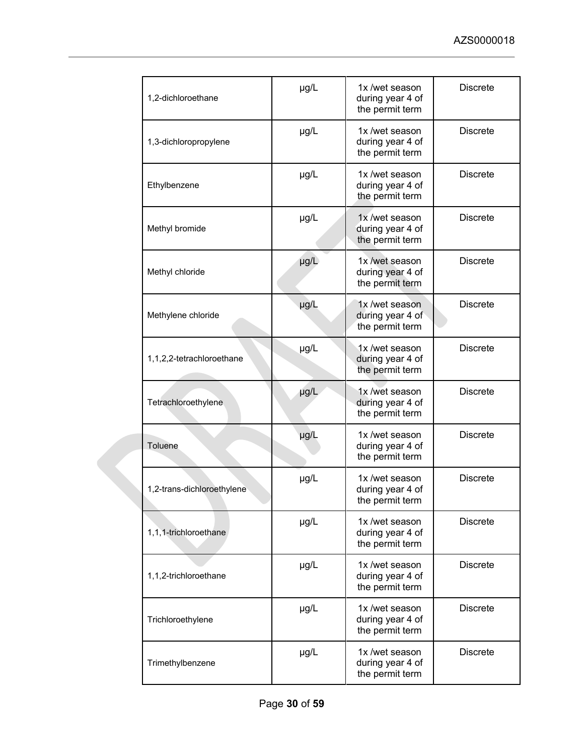| 1,2-dichloroethane         | µg/L      | 1x/wet season<br>during year 4 of<br>the permit term  | <b>Discrete</b> |
|----------------------------|-----------|-------------------------------------------------------|-----------------|
| 1,3-dichloropropylene      | µg/L      | 1x/wet season<br>during year 4 of<br>the permit term  | <b>Discrete</b> |
| Ethylbenzene               | µg/L      | 1x /wet season<br>during year 4 of<br>the permit term | <b>Discrete</b> |
| Methyl bromide             | µg/L      | 1x /wet season<br>during year 4 of<br>the permit term | <b>Discrete</b> |
| Methyl chloride            | µg/L      | 1x /wet season<br>during year 4 of<br>the permit term | <b>Discrete</b> |
| Methylene chloride         | µg/L      | 1x /wet season<br>during year 4 of<br>the permit term | <b>Discrete</b> |
| 1,1,2,2-tetrachloroethane  | µg/L      | 1x /wet season<br>during year 4 of<br>the permit term | <b>Discrete</b> |
| Tetrachloroethylene        | µg/L      | 1x /wet season<br>during year 4 of<br>the permit term | <b>Discrete</b> |
| Toluene                    | µg/L      | 1x /wet season<br>during year 4 of<br>the permit term | <b>Discrete</b> |
| 1,2-trans-dichloroethylene | µg/L      | 1x/wet season<br>during year 4 of<br>the permit term  | <b>Discrete</b> |
| 1,1,1-trichloroethane      | $\mu$ g/L | 1x /wet season<br>during year 4 of<br>the permit term | <b>Discrete</b> |
| 1,1,2-trichloroethane      | µg/L      | 1x /wet season<br>during year 4 of<br>the permit term | <b>Discrete</b> |
| Trichloroethylene          | µg/L      | 1x /wet season<br>during year 4 of<br>the permit term | <b>Discrete</b> |
| Trimethylbenzene           | $\mu$ g/L | 1x /wet season<br>during year 4 of<br>the permit term | <b>Discrete</b> |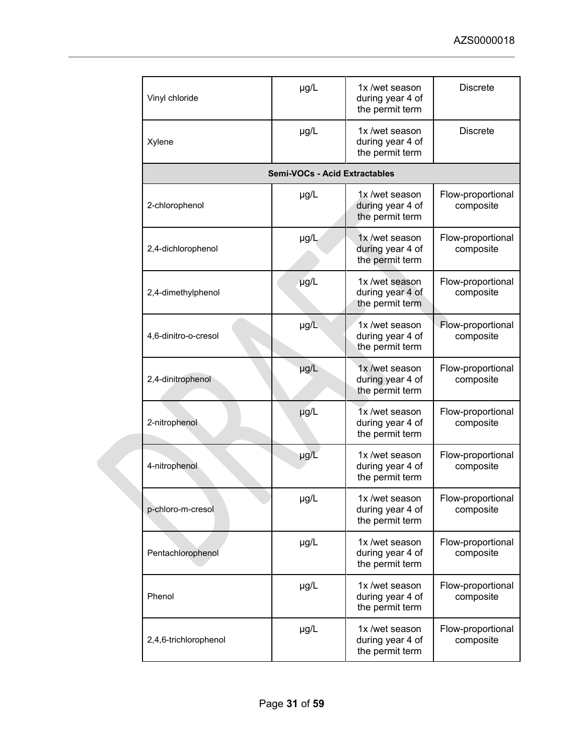| Vinyl chloride        | µg/L                                 | 1x /wet season<br>during year 4 of<br>the permit term | <b>Discrete</b>                |
|-----------------------|--------------------------------------|-------------------------------------------------------|--------------------------------|
| Xylene                | µg/L                                 | 1x /wet season<br>during year 4 of<br>the permit term | <b>Discrete</b>                |
|                       | <b>Semi-VOCs - Acid Extractables</b> |                                                       |                                |
| 2-chlorophenol        | $\mu$ g/L                            | 1x/wet season<br>during year 4 of<br>the permit term  | Flow-proportional<br>composite |
| 2,4-dichlorophenol    | µg/L                                 | 1x/wet season<br>during year 4 of<br>the permit term  | Flow-proportional<br>composite |
| 2,4-dimethylphenol    | $\mu g/L$                            | 1x /wet season<br>during year 4 of<br>the permit term | Flow-proportional<br>composite |
| 4,6-dinitro-o-cresol  | µg/L                                 | 1x/wet season<br>during year 4 of<br>the permit term  | Flow-proportional<br>composite |
| 2,4-dinitrophenol     | µg/L                                 | 1x /wet season<br>during year 4 of<br>the permit term | Flow-proportional<br>composite |
| 2-nitrophenol         | $\mu$ g/L                            | 1x /wet season<br>during year 4 of<br>the permit term | Flow-proportional<br>composite |
| 4-nitrophenol         | µg/L                                 | 1x /wet season<br>during year 4 of<br>the permit term | Flow-proportional<br>composite |
| p-chloro-m-cresol     | µg/L                                 | 1x /wet season<br>during year 4 of<br>the permit term | Flow-proportional<br>composite |
| Pentachlorophenol     | µg/L                                 | 1x /wet season<br>during year 4 of<br>the permit term | Flow-proportional<br>composite |
| Phenol                | $\mu$ g/L                            | 1x /wet season<br>during year 4 of<br>the permit term | Flow-proportional<br>composite |
| 2,4,6-trichlorophenol | µg/L                                 | 1x /wet season<br>during year 4 of<br>the permit term | Flow-proportional<br>composite |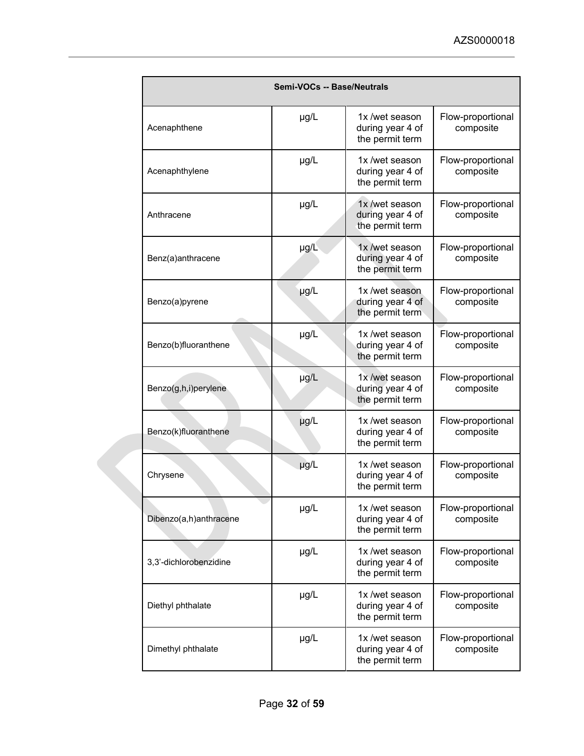|  | <b>Semi-VOCs -- Base/Neutrals</b> |           |                                                       |                                |
|--|-----------------------------------|-----------|-------------------------------------------------------|--------------------------------|
|  | Acenaphthene                      | $\mu$ g/L | 1x/wet season<br>during year 4 of<br>the permit term  | Flow-proportional<br>composite |
|  | Acenaphthylene                    | $\mu$ g/L | 1x /wet season<br>during year 4 of<br>the permit term | Flow-proportional<br>composite |
|  | Anthracene                        | µg/L      | 1x/wet season<br>during year 4 of<br>the permit term  | Flow-proportional<br>composite |
|  | Benz(a)anthracene                 | $\mu$ g/L | 1x /wet season<br>during year 4 of<br>the permit term | Flow-proportional<br>composite |
|  | Benzo(a)pyrene                    | µg/L      | 1x /wet season<br>during year 4 of<br>the permit term | Flow-proportional<br>composite |
|  | Benzo(b)fluoranthene              | µg/L      | 1x/wet season<br>during year 4 of<br>the permit term  | Flow-proportional<br>composite |
|  | Benzo(g,h,i)perylene              | µg/L      | 1x /wet season<br>during year 4 of<br>the permit term | Flow-proportional<br>composite |
|  | Benzo(k)fluoranthene              | µg/L      | 1x /wet season<br>during year 4 of<br>the permit term | Flow-proportional<br>composite |
|  | Chrysene                          | µg/L      | 1x /wet season<br>during year 4 of<br>the permit term | Flow-proportional<br>composite |
|  | Dibenzo(a,h)anthracene            | µg/L      | 1x /wet season<br>during year 4 of<br>the permit term | Flow-proportional<br>composite |
|  | 3,3'-dichlorobenzidine            | µg/L      | 1x/wet season<br>during year 4 of<br>the permit term  | Flow-proportional<br>composite |
|  | Diethyl phthalate                 | µg/L      | 1x /wet season<br>during year 4 of<br>the permit term | Flow-proportional<br>composite |
|  | Dimethyl phthalate                | µg/L      | 1x /wet season<br>during year 4 of<br>the permit term | Flow-proportional<br>composite |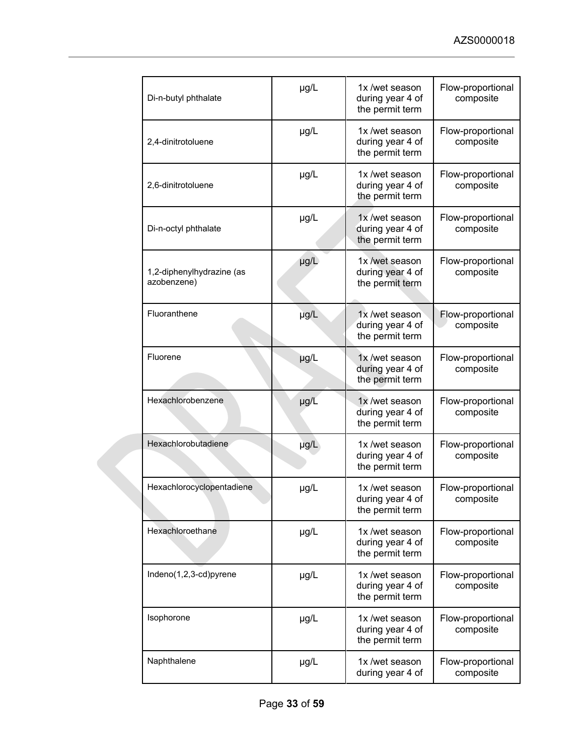|  | Di-n-butyl phthalate                     | µg/L      | 1x/wet season<br>during year 4 of<br>the permit term  | Flow-proportional<br>composite |
|--|------------------------------------------|-----------|-------------------------------------------------------|--------------------------------|
|  | 2,4-dinitrotoluene                       | µg/L      | 1x /wet season<br>during year 4 of<br>the permit term | Flow-proportional<br>composite |
|  | 2,6-dinitrotoluene                       | µg/L      | 1x/wet season<br>during year 4 of<br>the permit term  | Flow-proportional<br>composite |
|  | Di-n-octyl phthalate                     | µg/L      | 1x /wet season<br>during year 4 of<br>the permit term | Flow-proportional<br>composite |
|  | 1,2-diphenylhydrazine (as<br>azobenzene) | µg/L      | 1x /wet season<br>during year 4 of<br>the permit term | Flow-proportional<br>composite |
|  | Fluoranthene                             | µg/L      | 1x /wet season<br>during year 4 of<br>the permit term | Flow-proportional<br>composite |
|  | Fluorene                                 | µg/L      | 1x/wet season<br>during year 4 of<br>the permit term  | Flow-proportional<br>composite |
|  | Hexachlorobenzene                        | $\mu$ g/L | 1x /wet season<br>during year 4 of<br>the permit term | Flow-proportional<br>composite |
|  | Hexachlorobutadiene                      | µg/L      | 1x/wet season<br>during year 4 of<br>the permit term  | Flow-proportional<br>composite |
|  | Hexachlorocyclopentadiene                | µg/L      | 1x /wet season<br>during year 4 of<br>the permit term | Flow-proportional<br>composite |
|  | Hexachloroethane                         | µg/L      | 1x/wet season<br>during year 4 of<br>the permit term  | Flow-proportional<br>composite |
|  | Indeno(1,2,3-cd)pyrene                   | µg/L      | 1x/wet season<br>during year 4 of<br>the permit term  | Flow-proportional<br>composite |
|  | Isophorone                               | $\mu$ g/L | 1x /wet season<br>during year 4 of<br>the permit term | Flow-proportional<br>composite |
|  | Naphthalene                              | µg/L      | 1x/wet season<br>during year 4 of                     | Flow-proportional<br>composite |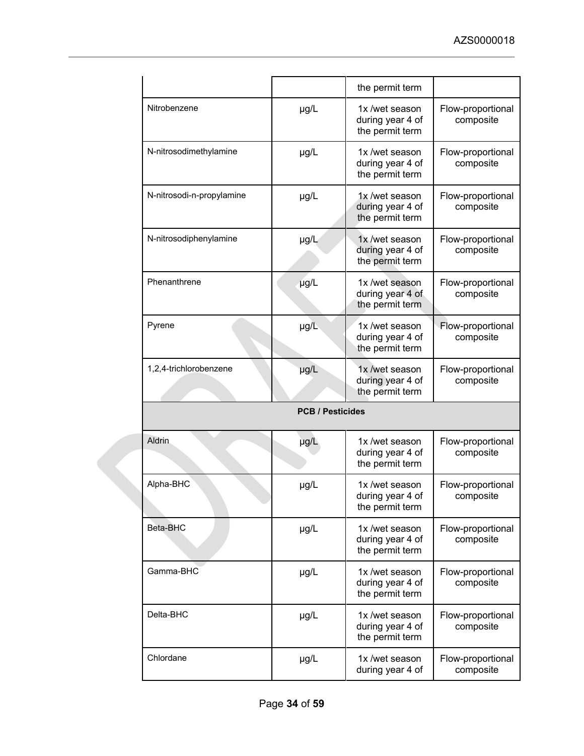|  |                           |      | the permit term                                       |                                |  |
|--|---------------------------|------|-------------------------------------------------------|--------------------------------|--|
|  | Nitrobenzene              | µg/L | 1x /wet season<br>during year 4 of<br>the permit term | Flow-proportional<br>composite |  |
|  | N-nitrosodimethylamine    | µg/L | 1x /wet season<br>during year 4 of<br>the permit term | Flow-proportional<br>composite |  |
|  | N-nitrosodi-n-propylamine | µg/L | 1x/wet season<br>during year 4 of<br>the permit term  | Flow-proportional<br>composite |  |
|  | N-nitrosodiphenylamine    | µg/L | 1x/wet season<br>during year 4 of<br>the permit term  | Flow-proportional<br>composite |  |
|  | Phenanthrene              | µg/L | 1x /wet season<br>during year 4 of<br>the permit term | Flow-proportional<br>composite |  |
|  | Pyrene                    | µg/L | 1x /wet season<br>during year 4 of<br>the permit term | Flow-proportional<br>composite |  |
|  | 1,2,4-trichlorobenzene    | µg/L | 1x/wet season<br>during year 4 of<br>the permit term  | Flow-proportional<br>composite |  |
|  | <b>PCB / Pesticides</b>   |      |                                                       |                                |  |
|  | <b>Aldrin</b>             | µg/L | 1x/wet season<br>during year 4 of<br>the permit term  | Flow-proportional<br>composite |  |
|  | Alpha-BHC                 | µg/L | 1x /wet season<br>during year 4 of<br>the permit term | Flow-proportional<br>composite |  |
|  | Beta-BHC                  | µg/L | 1x/wet season<br>during year 4 of<br>the permit term  | Flow-proportional<br>composite |  |
|  | Gamma-BHC                 | µg/L | 1x /wet season<br>during year 4 of<br>the permit term | Flow-proportional<br>composite |  |
|  | Delta-BHC                 | µg/L | 1x /wet season<br>during year 4 of<br>the permit term | Flow-proportional<br>composite |  |
|  | Chlordane                 | µg/L | 1x/wet season<br>during year 4 of                     | Flow-proportional<br>composite |  |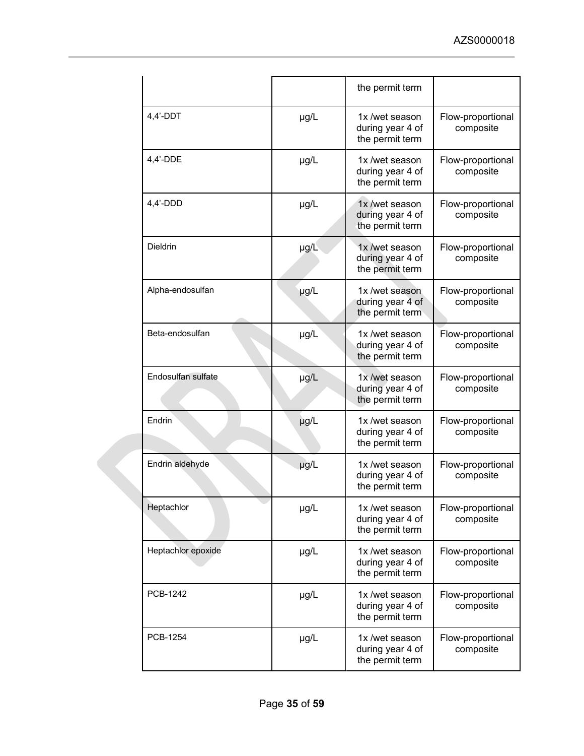|  |                    |           | the permit term                                       |                                |
|--|--------------------|-----------|-------------------------------------------------------|--------------------------------|
|  | $4,4'$ -DDT        | $\mu$ g/L | 1x /wet season<br>during year 4 of<br>the permit term | Flow-proportional<br>composite |
|  | $4,4'$ -DDE        | µg/L      | 1x /wet season<br>during year 4 of<br>the permit term | Flow-proportional<br>composite |
|  | $4,4'$ -DDD        | $\mu$ g/L | 1x /wet season<br>during year 4 of<br>the permit term | Flow-proportional<br>composite |
|  | <b>Dieldrin</b>    | $\mu$ g/L | 1x /wet season<br>during year 4 of<br>the permit term | Flow-proportional<br>composite |
|  | Alpha-endosulfan   | µg/L      | 1x /wet season<br>during year 4 of<br>the permit term | Flow-proportional<br>composite |
|  | Beta-endosulfan    | µg/L      | 1x/wet season<br>during year 4 of<br>the permit term  | Flow-proportional<br>composite |
|  | Endosulfan sulfate | µg/L      | 1x /wet season<br>during year 4 of<br>the permit term | Flow-proportional<br>composite |
|  | Endrin             | µg/L      | 1x /wet season<br>during year 4 of<br>the permit term | Flow-proportional<br>composite |
|  | Endrin aldehyde    | µg/L      | 1x/wet season<br>during year 4 of<br>the permit term  | Flow-proportional<br>composite |
|  | Heptachlor         | µg/L      | 1x/wet season<br>during year 4 of<br>the permit term  | Flow-proportional<br>composite |
|  | Heptachlor epoxide | µg/L      | 1x /wet season<br>during year 4 of<br>the permit term | Flow-proportional<br>composite |
|  | PCB-1242           | µg/L      | 1x /wet season<br>during year 4 of<br>the permit term | Flow-proportional<br>composite |
|  | PCB-1254           | $\mu$ g/L | 1x/wet season<br>during year 4 of<br>the permit term  | Flow-proportional<br>composite |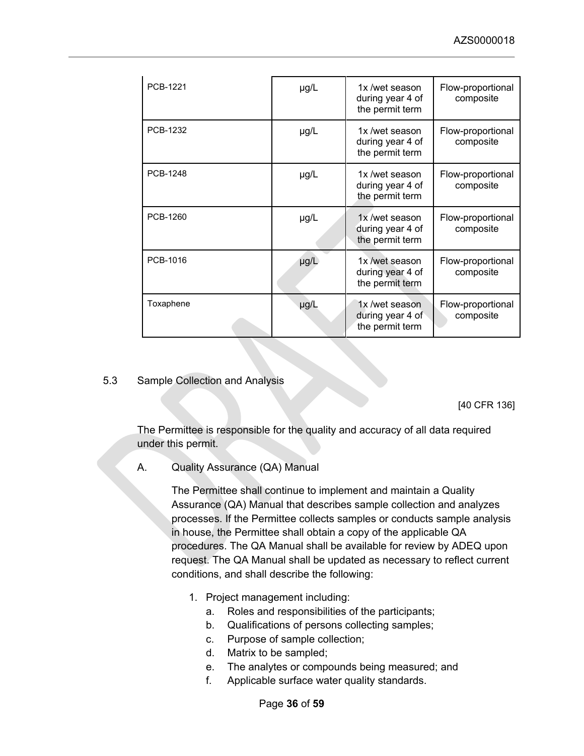| <b>PCB-1221</b> | $\mu$ g/L | 1x /wet season<br>during year 4 of<br>the permit term | Flow-proportional<br>composite |
|-----------------|-----------|-------------------------------------------------------|--------------------------------|
| PCB-1232        | $\mu$ g/L | 1x /wet season<br>during year 4 of<br>the permit term | Flow-proportional<br>composite |
| PCB-1248        | $\mu$ g/L | 1x/wet season<br>during year 4 of<br>the permit term  | Flow-proportional<br>composite |
| PCB-1260        | $\mu$ g/L | 1x /wet season<br>during year 4 of<br>the permit term | Flow-proportional<br>composite |
| PCB-1016        | $\mu$ g/L | 1x /wet season<br>during year 4 of<br>the permit term | Flow-proportional<br>composite |
| Toxaphene       | µg/L      | 1x /wet season<br>during year 4 of<br>the permit term | Flow-proportional<br>composite |

#### <span id="page-35-0"></span>5.3 Sample Collection and Analysis

[40 CFR 136]

The Permittee is responsible for the quality and accuracy of all data required under this permit.

A. Quality Assurance (QA) Manual

The Permittee shall continue to implement and maintain a Quality Assurance (QA) Manual that describes sample collection and analyzes processes. If the Permittee collects samples or conducts sample analysis in house, the Permittee shall obtain a copy of the applicable QA procedures. The QA Manual shall be available for review by ADEQ upon request. The QA Manual shall be updated as necessary to reflect current conditions, and shall describe the following:

- 1. Project management including:
	- a. Roles and responsibilities of the participants;
	- b. Qualifications of persons collecting samples;
	- c. Purpose of sample collection;
	- d. Matrix to be sampled;
	- e. The analytes or compounds being measured; and
	- f. Applicable surface water quality standards.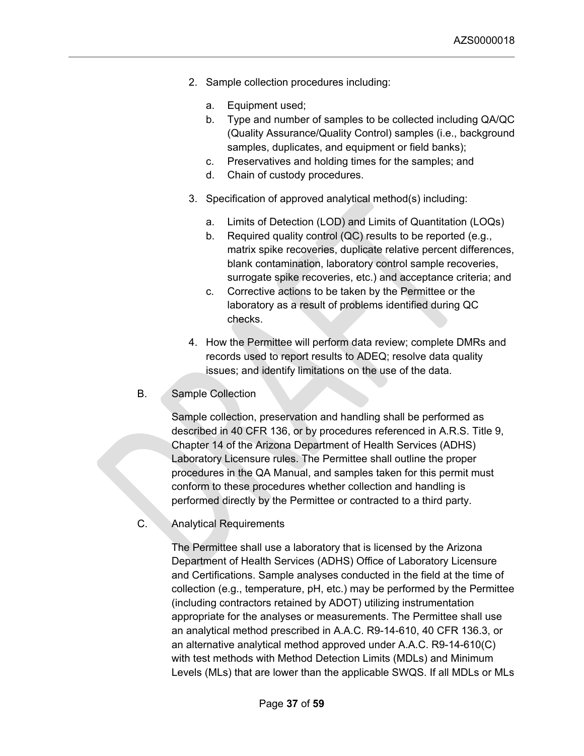- 2. Sample collection procedures including:
	- a. Equipment used;
	- b. Type and number of samples to be collected including QA/QC (Quality Assurance/Quality Control) samples (i.e., background samples, duplicates, and equipment or field banks);
	- c. Preservatives and holding times for the samples; and
	- d. Chain of custody procedures.
- 3. Specification of approved analytical method(s) including:
	- a. Limits of Detection (LOD) and Limits of Quantitation (LOQs)
	- b. Required quality control (QC) results to be reported (e.g., matrix spike recoveries, duplicate relative percent differences, blank contamination, laboratory control sample recoveries, surrogate spike recoveries, etc.) and acceptance criteria; and
	- c. Corrective actions to be taken by the Permittee or the laboratory as a result of problems identified during QC checks.
- 4. How the Permittee will perform data review; complete DMRs and records used to report results to ADEQ; resolve data quality issues; and identify limitations on the use of the data.

#### B. Sample Collection

Sample collection, preservation and handling shall be performed as described in 40 CFR 136, or by procedures referenced in A.R.S. Title 9, Chapter 14 of the Arizona Department of Health Services (ADHS) Laboratory Licensure rules. The Permittee shall outline the proper procedures in the QA Manual, and samples taken for this permit must conform to these procedures whether collection and handling is performed directly by the Permittee or contracted to a third party.

C. Analytical Requirements

The Permittee shall use a laboratory that is licensed by the Arizona Department of Health Services (ADHS) Office of Laboratory Licensure and Certifications. Sample analyses conducted in the field at the time of collection (e.g., temperature, pH, etc.) may be performed by the Permittee (including contractors retained by ADOT) utilizing instrumentation appropriate for the analyses or measurements. The Permittee shall use an analytical method prescribed in A.A.C. R9-14-610, 40 CFR 136.3, or an alternative analytical method approved under A.A.C. R9-14-610(C) with test methods with Method Detection Limits (MDLs) and Minimum Levels (MLs) that are lower than the applicable SWQS. If all MDLs or MLs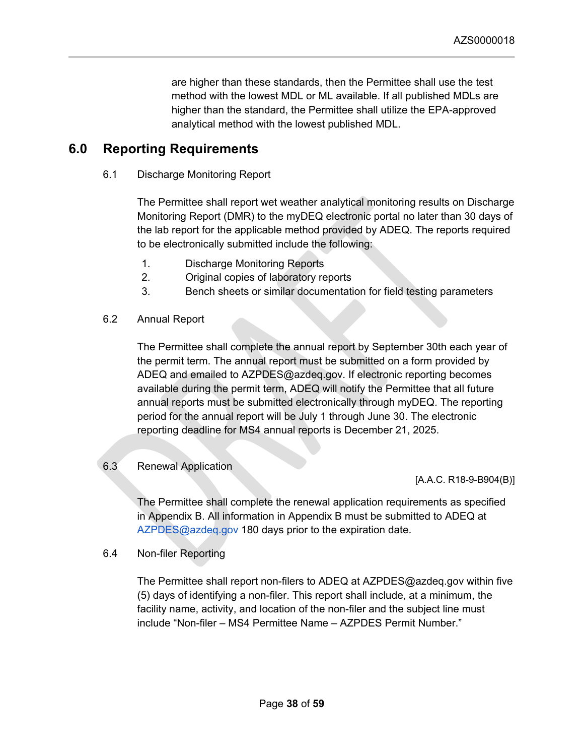are higher than these standards, then the Permittee shall use the test method with the lowest MDL or ML available. If all published MDLs are higher than the standard, the Permittee shall utilize the EPA-approved analytical method with the lowest published MDL.

# <span id="page-37-0"></span>**6.0 Reporting Requirements**

<span id="page-37-1"></span>6.1 Discharge Monitoring Report

The Permittee shall report wet weather analytical monitoring results on Discharge Monitoring Report (DMR) to the myDEQ electronic portal no later than 30 days of the lab report for the applicable method provided by ADEQ. The reports required to be electronically submitted include the following:

- 1. Discharge Monitoring Reports
- 2. Original copies of laboratory reports
- 3. Bench sheets or similar documentation for field testing parameters
- <span id="page-37-2"></span>6.2 Annual Report

The Permittee shall complete the annual report by September 30th each year of the permit term. The annual report must be submitted on a form provided by ADEQ and emailed to AZPDES@azdeq.gov. If electronic reporting becomes available during the permit term, ADEQ will notify the Permittee that all future annual reports must be submitted electronically through myDEQ. The reporting period for the annual report will be July 1 through June 30. The electronic reporting deadline for MS4 annual reports is December 21, 2025.

## <span id="page-37-3"></span>6.3 Renewal Application

[A.A.C. R18-9-B904(B)]

The Permittee shall complete the renewal application requirements as specified in Appendix B. All information in Appendix B must be submitted to ADEQ at AZPDES@azdeq.gov 180 days prior to the expiration date.

<span id="page-37-4"></span>6.4 Non-filer Reporting

The Permittee shall report non-filers to ADEQ at AZPDES@azdeq.gov within five (5) days of identifying a non-filer. This report shall include, at a minimum, the facility name, activity, and location of the non-filer and the subject line must include "Non-filer – MS4 Permittee Name – AZPDES Permit Number."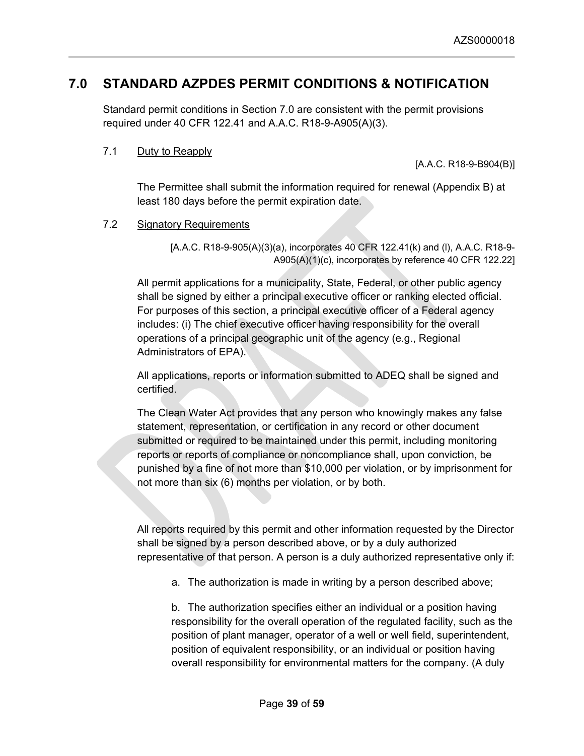# <span id="page-38-0"></span>**7.0 STANDARD AZPDES PERMIT CONDITIONS & NOTIFICATION**

Standard permit conditions in Section 7.0 are consistent with the permit provisions required under 40 CFR 122.41 and A.A.C. R18-9-A905(A)(3).

## <span id="page-38-1"></span>7.1 Duty to Reapply

[A.A.C. R18-9-B904(B)]

The Permittee shall submit the information required for renewal (Appendix B) at least 180 days before the permit expiration date.

## <span id="page-38-2"></span>7.2 Signatory Requirements

[A.A.C. R18-9-905(A)(3)(a), incorporates 40 CFR 122.41(k) and (l), A.A.C. R18-9- A905(A)(1)(c), incorporates by reference 40 CFR 122.22]

All permit applications for a municipality, State, Federal, or other public agency shall be signed by either a principal executive officer or ranking elected official. For purposes of this section, a principal executive officer of a Federal agency includes: (i) The chief executive officer having responsibility for the overall operations of a principal geographic unit of the agency (e.g., Regional Administrators of EPA).

All applications, reports or information submitted to ADEQ shall be signed and certified.

The Clean Water Act provides that any person who knowingly makes any false statement, representation, or certification in any record or other document submitted or required to be maintained under this permit, including monitoring reports or reports of compliance or noncompliance shall, upon conviction, be punished by a fine of not more than \$10,000 per violation, or by imprisonment for not more than six (6) months per violation, or by both.

All reports required by this permit and other information requested by the Director shall be signed by a person described above, or by a duly authorized representative of that person. A person is a duly authorized representative only if:

a. The authorization is made in writing by a person described above;

b. The authorization specifies either an individual or a position having responsibility for the overall operation of the regulated facility, such as the position of plant manager, operator of a well or well field, superintendent, position of equivalent responsibility, or an individual or position having overall responsibility for environmental matters for the company. (A duly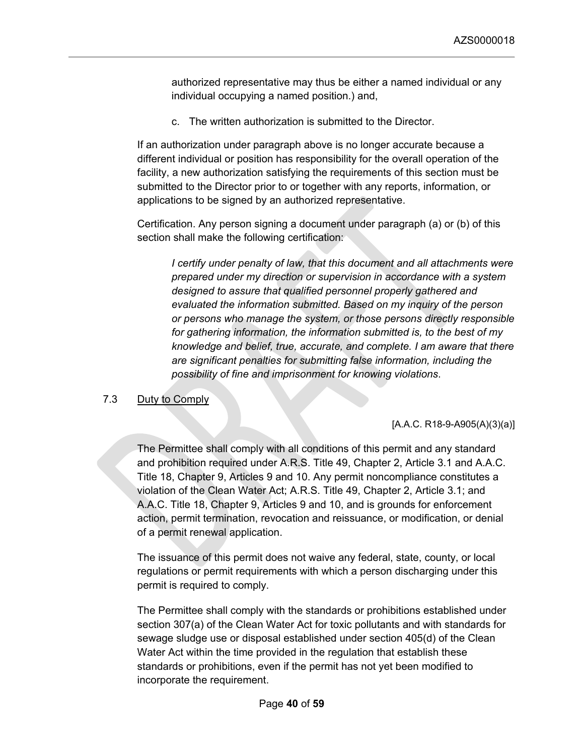authorized representative may thus be either a named individual or any individual occupying a named position.) and,

c. The written authorization is submitted to the Director.

If an authorization under paragraph above is no longer accurate because a different individual or position has responsibility for the overall operation of the facility, a new authorization satisfying the requirements of this section must be submitted to the Director prior to or together with any reports, information, or applications to be signed by an authorized representative.

Certification. Any person signing a document under paragraph (a) or (b) of this section shall make the following certification:

*I certify under penalty of law, that this document and all attachments were prepared under my direction or supervision in accordance with a system designed to assure that qualified personnel properly gathered and evaluated the information submitted. Based on my inquiry of the person or persons who manage the system, or those persons directly responsible for gathering information, the information submitted is, to the best of my knowledge and belief, true, accurate, and complete. I am aware that there are significant penalties for submitting false information, including the possibility of fine and imprisonment for knowing violations*.

#### <span id="page-39-0"></span>7.3 Duty to Comply

#### [A.A.C. R18-9-A905(A)(3)(a)]

The Permittee shall comply with all conditions of this permit and any standard and prohibition required under A.R.S. Title 49, Chapter 2, Article 3.1 and A.A.C. Title 18, Chapter 9, Articles 9 and 10. Any permit noncompliance constitutes a violation of the Clean Water Act; A.R.S. Title 49, Chapter 2, Article 3.1; and A.A.C. Title 18, Chapter 9, Articles 9 and 10, and is grounds for enforcement action, permit termination, revocation and reissuance, or modification, or denial of a permit renewal application.

The issuance of this permit does not waive any federal, state, county, or local regulations or permit requirements with which a person discharging under this permit is required to comply.

The Permittee shall comply with the standards or prohibitions established under section 307(a) of the Clean Water Act for toxic pollutants and with standards for sewage sludge use or disposal established under section 405(d) of the Clean Water Act within the time provided in the regulation that establish these standards or prohibitions, even if the permit has not yet been modified to incorporate the requirement.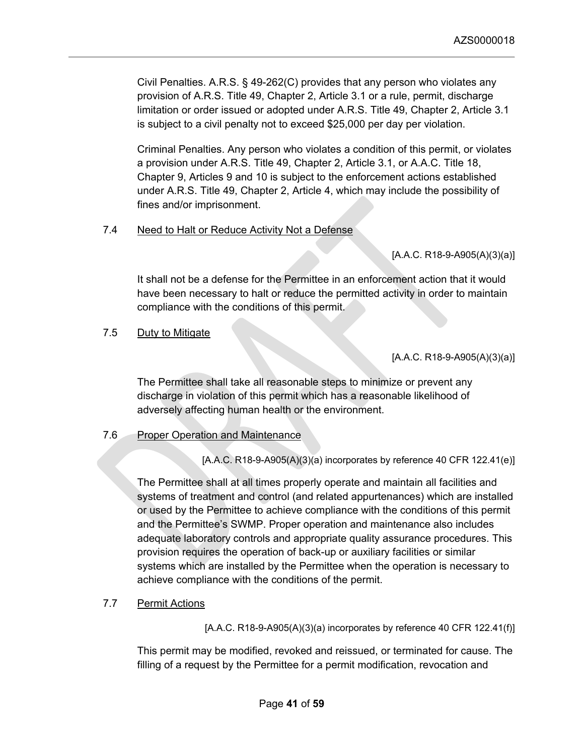Civil Penalties. A.R.S. § 49-262(C) provides that any person who violates any provision of A.R.S. Title 49, Chapter 2, Article 3.1 or a rule, permit, discharge limitation or order issued or adopted under A.R.S. Title 49, Chapter 2, Article 3.1 is subject to a civil penalty not to exceed \$25,000 per day per violation.

Criminal Penalties. Any person who violates a condition of this permit, or violates a provision under A.R.S. Title 49, Chapter 2, Article 3.1, or A.A.C. Title 18, Chapter 9, Articles 9 and 10 is subject to the enforcement actions established under A.R.S. Title 49, Chapter 2, Article 4, which may include the possibility of fines and/or imprisonment.

## <span id="page-40-0"></span>7.4 Need to Halt or Reduce Activity Not a Defense

## $[A.A.C. R18-9-A905(A)(3)(a)]$

It shall not be a defense for the Permittee in an enforcement action that it would have been necessary to halt or reduce the permitted activity in order to maintain compliance with the conditions of this permit.

<span id="page-40-1"></span>7.5 Duty to Mitigate

[A.A.C. R18-9-A905(A)(3)(a)]

The Permittee shall take all reasonable steps to minimize or prevent any discharge in violation of this permit which has a reasonable likelihood of adversely affecting human health or the environment.

## <span id="page-40-2"></span>7.6 Proper Operation and Maintenance

[A.A.C. R18-9-A905(A)(3)(a) incorporates by reference 40 CFR 122.41(e)]

The Permittee shall at all times properly operate and maintain all facilities and systems of treatment and control (and related appurtenances) which are installed or used by the Permittee to achieve compliance with the conditions of this permit and the Permittee's SWMP. Proper operation and maintenance also includes adequate laboratory controls and appropriate quality assurance procedures. This provision requires the operation of back-up or auxiliary facilities or similar systems which are installed by the Permittee when the operation is necessary to achieve compliance with the conditions of the permit.

## <span id="page-40-3"></span>7.7 Permit Actions

[A.A.C. R18-9-A905(A)(3)(a) incorporates by reference 40 CFR 122.41(f)]

This permit may be modified, revoked and reissued, or terminated for cause. The filling of a request by the Permittee for a permit modification, revocation and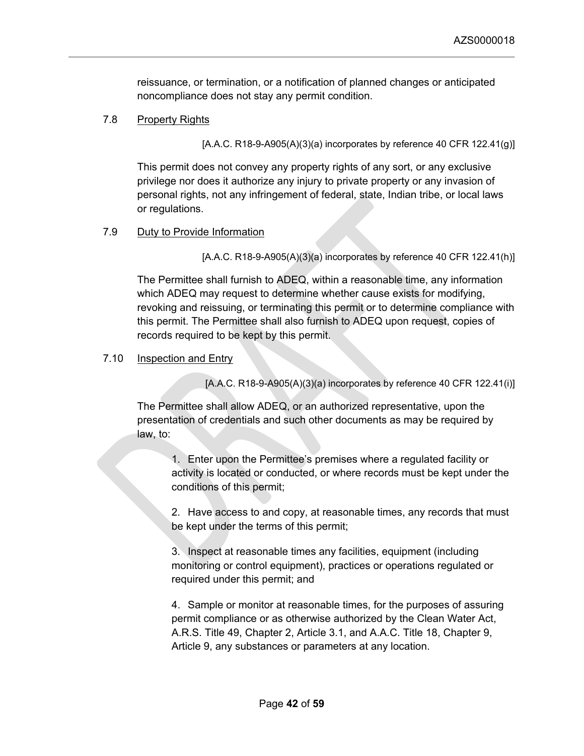reissuance, or termination, or a notification of planned changes or anticipated noncompliance does not stay any permit condition.

### <span id="page-41-0"></span>7.8 Property Rights

 $[A.A.C. R18-9-A905(A)(3)(a)$  incorporates by reference 40 CFR 122.41(g)]

This permit does not convey any property rights of any sort, or any exclusive privilege nor does it authorize any injury to private property or any invasion of personal rights, not any infringement of federal, state, Indian tribe, or local laws or regulations.

### <span id="page-41-1"></span>7.9 Duty to Provide Information

[A.A.C. R18-9-A905(A)(3)(a) incorporates by reference 40 CFR 122.41(h)]

The Permittee shall furnish to ADEQ, within a reasonable time, any information which ADEQ may request to determine whether cause exists for modifying, revoking and reissuing, or terminating this permit or to determine compliance with this permit. The Permittee shall also furnish to ADEQ upon request, copies of records required to be kept by this permit.

#### <span id="page-41-2"></span>7.10 Inspection and Entry

[A.A.C. R18-9-A905(A)(3)(a) incorporates by reference 40 CFR 122.41(i)]

The Permittee shall allow ADEQ, or an authorized representative, upon the presentation of credentials and such other documents as may be required by law, to:

1. Enter upon the Permittee's premises where a regulated facility or activity is located or conducted, or where records must be kept under the conditions of this permit;

2. Have access to and copy, at reasonable times, any records that must be kept under the terms of this permit;

3. Inspect at reasonable times any facilities, equipment (including monitoring or control equipment), practices or operations regulated or required under this permit; and

4. Sample or monitor at reasonable times, for the purposes of assuring permit compliance or as otherwise authorized by the Clean Water Act, A.R.S. Title 49, Chapter 2, Article 3.1, and A.A.C. Title 18, Chapter 9, Article 9, any substances or parameters at any location.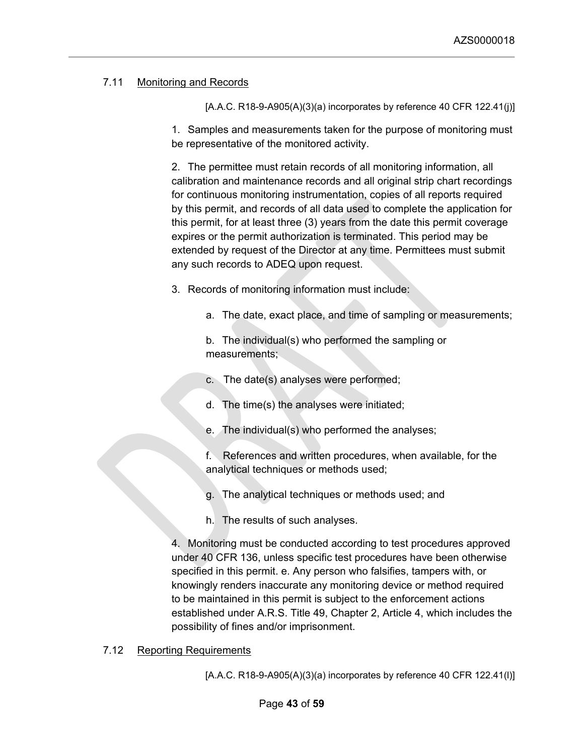# <span id="page-42-0"></span>7.11 Monitoring and Records

 $[A.A.C. R18-9-A905(A)(3)(a)$  incorporates by reference 40 CFR 122.41(j)]

1. Samples and measurements taken for the purpose of monitoring must be representative of the monitored activity.

2. The permittee must retain records of all monitoring information, all calibration and maintenance records and all original strip chart recordings for continuous monitoring instrumentation, copies of all reports required by this permit, and records of all data used to complete the application for this permit, for at least three (3) years from the date this permit coverage expires or the permit authorization is terminated. This period may be extended by request of the Director at any time. Permittees must submit any such records to ADEQ upon request.

3. Records of monitoring information must include:

a. The date, exact place, and time of sampling or measurements;

b. The individual(s) who performed the sampling or measurements;

- c. The date(s) analyses were performed;
- d. The time(s) the analyses were initiated;
- The individual(s) who performed the analyses;

f. References and written procedures, when available, for the analytical techniques or methods used;

- g. The analytical techniques or methods used; and
- h. The results of such analyses.

4. Monitoring must be conducted according to test procedures approved under 40 CFR 136, unless specific test procedures have been otherwise specified in this permit. e. Any person who falsifies, tampers with, or knowingly renders inaccurate any monitoring device or method required to be maintained in this permit is subject to the enforcement actions established under A.R.S. Title 49, Chapter 2, Article 4, which includes the possibility of fines and/or imprisonment.

# <span id="page-42-1"></span>7.12 Reporting Requirements

 $[A.A.C. R18-9-A905(A)(3)(a)$  incorporates by reference 40 CFR 122.41(l)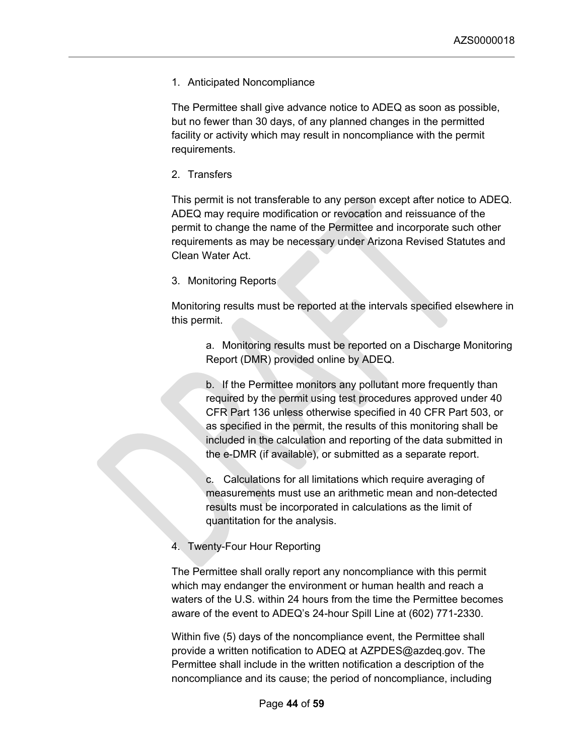1. Anticipated Noncompliance

The Permittee shall give advance notice to ADEQ as soon as possible, but no fewer than 30 days, of any planned changes in the permitted facility or activity which may result in noncompliance with the permit requirements.

2. Transfers

This permit is not transferable to any person except after notice to ADEQ. ADEQ may require modification or revocation and reissuance of the permit to change the name of the Permittee and incorporate such other requirements as may be necessary under Arizona Revised Statutes and Clean Water Act.

3. Monitoring Reports

Monitoring results must be reported at the intervals specified elsewhere in this permit.

a. Monitoring results must be reported on a Discharge Monitoring Report (DMR) provided online by ADEQ.

b. If the Permittee monitors any pollutant more frequently than required by the permit using test procedures approved under 40 CFR Part 136 unless otherwise specified in 40 CFR Part 503, or as specified in the permit, the results of this monitoring shall be included in the calculation and reporting of the data submitted in the e-DMR (if available), or submitted as a separate report.

c. Calculations for all limitations which require averaging of measurements must use an arithmetic mean and non-detected results must be incorporated in calculations as the limit of quantitation for the analysis.

4. Twenty-Four Hour Reporting

The Permittee shall orally report any noncompliance with this permit which may endanger the environment or human health and reach a waters of the U.S. within 24 hours from the time the Permittee becomes aware of the event to ADEQ's 24-hour Spill Line at (602) 771-2330.

Within five (5) days of the noncompliance event, the Permittee shall provide a written notification to ADEQ at AZPDES@azdeq.gov. The Permittee shall include in the written notification a description of the noncompliance and its cause; the period of noncompliance, including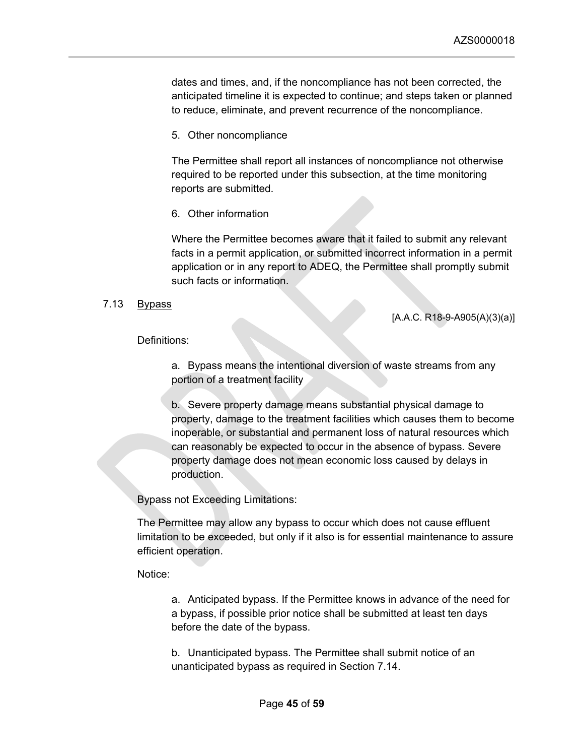dates and times, and, if the noncompliance has not been corrected, the anticipated timeline it is expected to continue; and steps taken or planned to reduce, eliminate, and prevent recurrence of the noncompliance.

5. Other noncompliance

The Permittee shall report all instances of noncompliance not otherwise required to be reported under this subsection, at the time monitoring reports are submitted.

6. Other information

Where the Permittee becomes aware that it failed to submit any relevant facts in a permit application, or submitted incorrect information in a permit application or in any report to ADEQ, the Permittee shall promptly submit such facts or information.

#### <span id="page-44-0"></span>7.13 Bypass

[A.A.C. R18-9-A905(A)(3)(a)]

#### Definitions:

a. Bypass means the intentional diversion of waste streams from any portion of a treatment facility

b. Severe property damage means substantial physical damage to property, damage to the treatment facilities which causes them to become inoperable, or substantial and permanent loss of natural resources which can reasonably be expected to occur in the absence of bypass. Severe property damage does not mean economic loss caused by delays in production.

Bypass not Exceeding Limitations:

The Permittee may allow any bypass to occur which does not cause effluent limitation to be exceeded, but only if it also is for essential maintenance to assure efficient operation.

Notice:

a. Anticipated bypass. If the Permittee knows in advance of the need for a bypass, if possible prior notice shall be submitted at least ten days before the date of the bypass.

b. Unanticipated bypass. The Permittee shall submit notice of an unanticipated bypass as required in Section 7.14.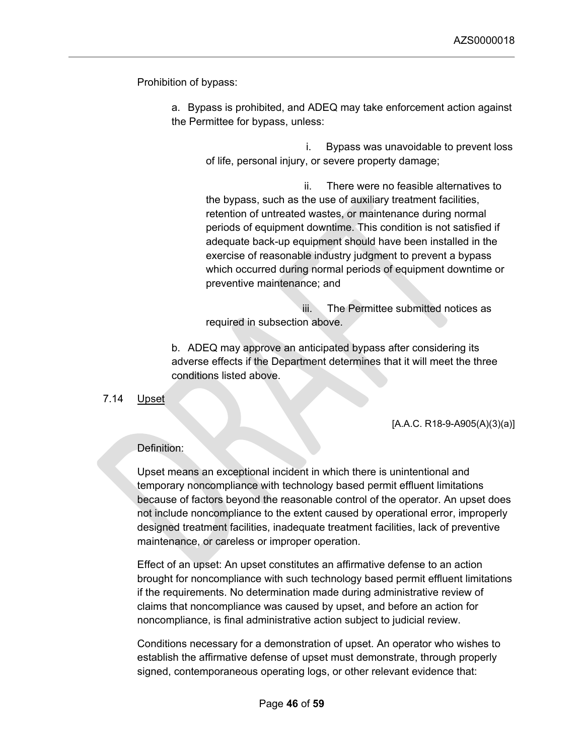Prohibition of bypass:

a. Bypass is prohibited, and ADEQ may take enforcement action against the Permittee for bypass, unless:

 i. Bypass was unavoidable to prevent loss of life, personal injury, or severe property damage;

 ii. There were no feasible alternatives to the bypass, such as the use of auxiliary treatment facilities, retention of untreated wastes, or maintenance during normal periods of equipment downtime. This condition is not satisfied if adequate back-up equipment should have been installed in the exercise of reasonable industry judgment to prevent a bypass which occurred during normal periods of equipment downtime or preventive maintenance; and

 iii. The Permittee submitted notices as required in subsection above.

b. ADEQ may approve an anticipated bypass after considering its adverse effects if the Department determines that it will meet the three conditions listed above.

## <span id="page-45-0"></span>7.14 Upset

[A.A.C. R18-9-A905(A)(3)(a)]

# Definition:

Upset means an exceptional incident in which there is unintentional and temporary noncompliance with technology based permit effluent limitations because of factors beyond the reasonable control of the operator. An upset does not include noncompliance to the extent caused by operational error, improperly designed treatment facilities, inadequate treatment facilities, lack of preventive maintenance, or careless or improper operation.

Effect of an upset: An upset constitutes an affirmative defense to an action brought for noncompliance with such technology based permit effluent limitations if the requirements. No determination made during administrative review of claims that noncompliance was caused by upset, and before an action for noncompliance, is final administrative action subject to judicial review.

Conditions necessary for a demonstration of upset. An operator who wishes to establish the affirmative defense of upset must demonstrate, through properly signed, contemporaneous operating logs, or other relevant evidence that: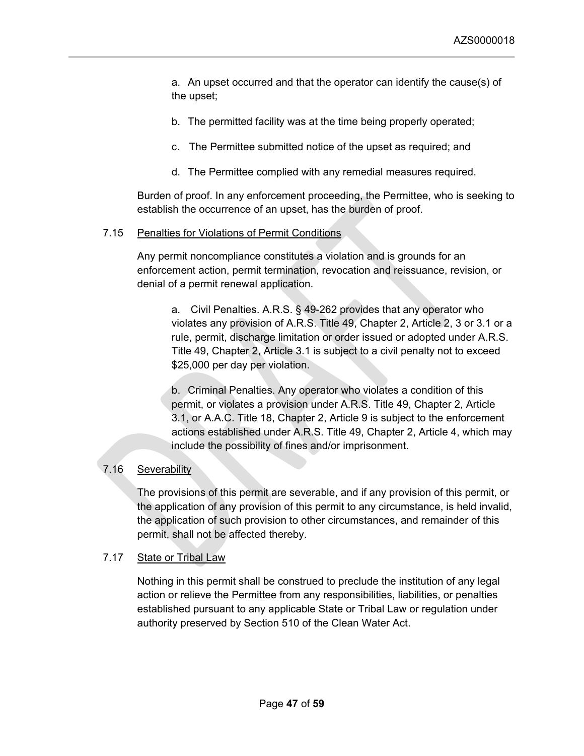a. An upset occurred and that the operator can identify the cause(s) of the upset;

- b. The permitted facility was at the time being properly operated;
- c. The Permittee submitted notice of the upset as required; and
- d. The Permittee complied with any remedial measures required.

Burden of proof. In any enforcement proceeding, the Permittee, who is seeking to establish the occurrence of an upset, has the burden of proof.

## <span id="page-46-0"></span>7.15 Penalties for Violations of Permit Conditions

Any permit noncompliance constitutes a violation and is grounds for an enforcement action, permit termination, revocation and reissuance, revision, or denial of a permit renewal application.

a. Civil Penalties. A.R.S. § 49-262 provides that any operator who violates any provision of A.R.S. Title 49, Chapter 2, Article 2, 3 or 3.1 or a rule, permit, discharge limitation or order issued or adopted under A.R.S. Title 49, Chapter 2, Article 3.1 is subject to a civil penalty not to exceed \$25,000 per day per violation.

b. Criminal Penalties. Any operator who violates a condition of this permit, or violates a provision under A.R.S. Title 49, Chapter 2, Article 3.1, or A.A.C. Title 18, Chapter 2, Article 9 is subject to the enforcement actions established under A.R.S. Title 49, Chapter 2, Article 4, which may include the possibility of fines and/or imprisonment.

## <span id="page-46-1"></span>7.16 Severability

The provisions of this permit are severable, and if any provision of this permit, or the application of any provision of this permit to any circumstance, is held invalid, the application of such provision to other circumstances, and remainder of this permit, shall not be affected thereby.

## <span id="page-46-2"></span>7.17 State or Tribal Law

Nothing in this permit shall be construed to preclude the institution of any legal action or relieve the Permittee from any responsibilities, liabilities, or penalties established pursuant to any applicable State or Tribal Law or regulation under authority preserved by Section 510 of the Clean Water Act.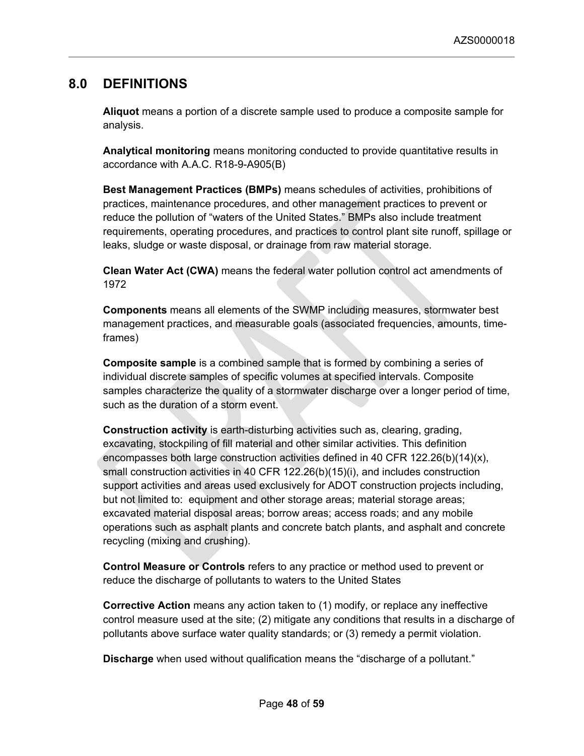# <span id="page-47-0"></span>**8.0 DEFINITIONS**

**Aliquot** means a portion of a discrete sample used to produce a composite sample for analysis.

**Analytical monitoring** means monitoring conducted to provide quantitative results in accordance with A.A.C. R18-9-A905(B)

**Best Management Practices (BMPs)** means schedules of activities, prohibitions of practices, maintenance procedures, and other management practices to prevent or reduce the pollution of "waters of the United States." BMPs also include treatment requirements, operating procedures, and practices to control plant site runoff, spillage or leaks, sludge or waste disposal, or drainage from raw material storage.

**Clean Water Act (CWA)** means the federal water pollution control act amendments of 1972

**Components** means all elements of the SWMP including measures, stormwater best management practices, and measurable goals (associated frequencies, amounts, timeframes)

**Composite sample** is a combined sample that is formed by combining a series of individual discrete samples of specific volumes at specified intervals. Composite samples characterize the quality of a stormwater discharge over a longer period of time, such as the duration of a storm event.

**Construction activity** is earth-disturbing activities such as, clearing, grading, excavating, stockpiling of fill material and other similar activities. This definition encompasses both large construction activities defined in 40 CFR 122.26(b)(14)(x), small construction activities in 40 CFR 122.26(b)(15)(i), and includes construction support activities and areas used exclusively for ADOT construction projects including, but not limited to: equipment and other storage areas; material storage areas; excavated material disposal areas; borrow areas; access roads; and any mobile operations such as asphalt plants and concrete batch plants, and asphalt and concrete recycling (mixing and crushing).

**Control Measure or Controls** refers to any practice or method used to prevent or reduce the discharge of pollutants to waters to the United States

**Corrective Action** means any action taken to (1) modify, or replace any ineffective control measure used at the site; (2) mitigate any conditions that results in a discharge of pollutants above surface water quality standards; or (3) remedy a permit violation.

**Discharge** when used without qualification means the "discharge of a pollutant."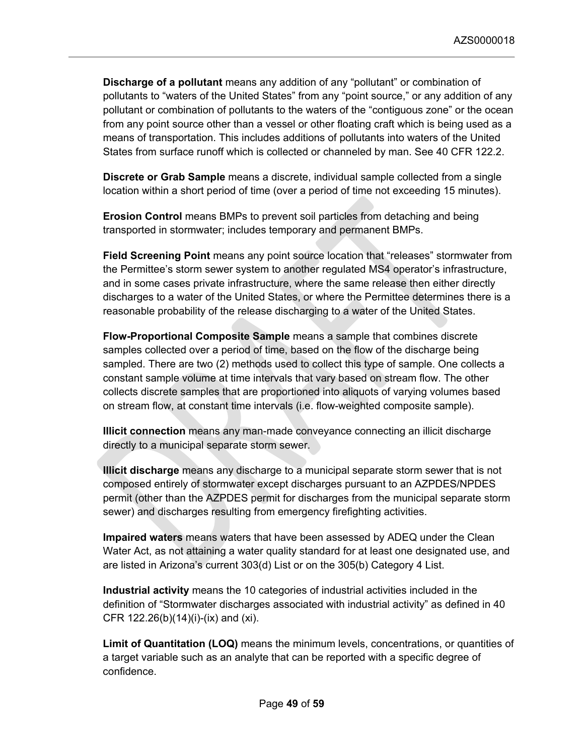**Discharge of a pollutant** means any addition of any "pollutant" or combination of pollutants to "waters of the United States" from any "point source," or any addition of any pollutant or combination of pollutants to the waters of the "contiguous zone" or the ocean from any point source other than a vessel or other floating craft which is being used as a means of transportation. This includes additions of pollutants into waters of the United States from surface runoff which is collected or channeled by man. See 40 CFR 122.2.

**Discrete or Grab Sample** means a discrete, individual sample collected from a single location within a short period of time (over a period of time not exceeding 15 minutes).

**Erosion Control** means BMPs to prevent soil particles from detaching and being transported in stormwater; includes temporary and permanent BMPs.

**Field Screening Point** means any point source location that "releases" stormwater from the Permittee's storm sewer system to another regulated MS4 operator's infrastructure, and in some cases private infrastructure, where the same release then either directly discharges to a water of the United States, or where the Permittee determines there is a reasonable probability of the release discharging to a water of the United States.

**Flow-Proportional Composite Sample** means a sample that combines discrete samples collected over a period of time, based on the flow of the discharge being sampled. There are two (2) methods used to collect this type of sample. One collects a constant sample volume at time intervals that vary based on stream flow. The other collects discrete samples that are proportioned into aliquots of varying volumes based on stream flow, at constant time intervals (i.e. flow-weighted composite sample).

**Illicit connection** means any man-made conveyance connecting an illicit discharge directly to a municipal separate storm sewer.

**Illicit discharge** means any discharge to a municipal separate storm sewer that is not composed entirely of stormwater except discharges pursuant to an AZPDES/NPDES permit (other than the AZPDES permit for discharges from the municipal separate storm sewer) and discharges resulting from emergency firefighting activities.

**Impaired waters** means waters that have been assessed by ADEQ under the Clean Water Act, as not attaining a water quality standard for at least one designated use, and are listed in Arizona's current 303(d) List or on the 305(b) Category 4 List.

**Industrial activity** means the 10 categories of industrial activities included in the definition of "Stormwater discharges associated with industrial activity" as defined in 40 CFR 122.26(b)(14)(i)-(ix) and (xi).

**Limit of Quantitation (LOQ)** means the minimum levels, concentrations, or quantities of a target variable such as an analyte that can be reported with a specific degree of confidence.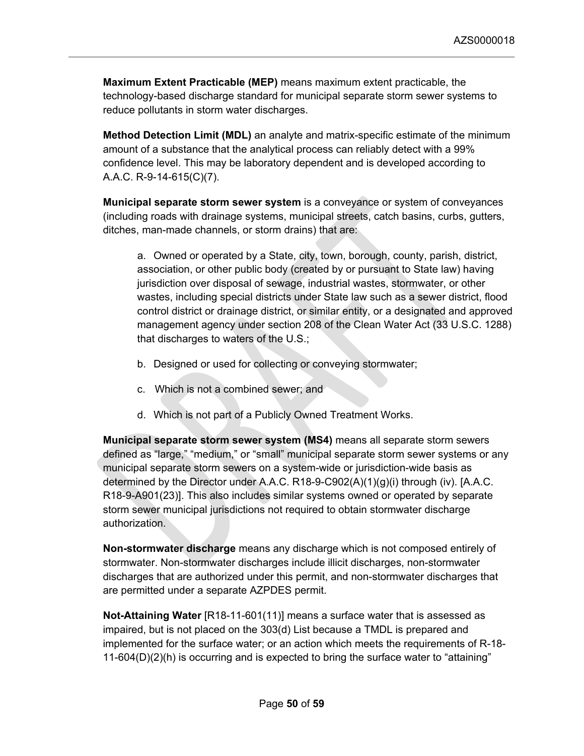**Maximum Extent Practicable (MEP)** means maximum extent practicable, the technology-based discharge standard for municipal separate storm sewer systems to reduce pollutants in storm water discharges.

**Method Detection Limit (MDL)** an analyte and matrix-specific estimate of the minimum amount of a substance that the analytical process can reliably detect with a 99% confidence level. This may be laboratory dependent and is developed according to A.A.C. R-9-14-615(C)(7).

**Municipal separate storm sewer system** is a conveyance or system of conveyances (including roads with drainage systems, municipal streets, catch basins, curbs, gutters, ditches, man-made channels, or storm drains) that are:

a. Owned or operated by a State, city, town, borough, county, parish, district, association, or other public body (created by or pursuant to State law) having jurisdiction over disposal of sewage, industrial wastes, stormwater, or other wastes, including special districts under State law such as a sewer district, flood control district or drainage district, or similar entity, or a designated and approved management agency under section 208 of the Clean Water Act (33 U.S.C. 1288) that discharges to waters of the U.S.;

- b. Designed or used for collecting or conveying stormwater;
- c. Which is not a combined sewer; and
- d. Which is not part of a Publicly Owned Treatment Works.

**Municipal separate storm sewer system (MS4)** means all separate storm sewers defined as "large," "medium," or "small" municipal separate storm sewer systems or any municipal separate storm sewers on a system-wide or jurisdiction-wide basis as determined by the Director under A.A.C. R18-9-C902(A)(1)(g)(i) through (iv). [A.A.C. R18-9-A901(23)]. This also includes similar systems owned or operated by separate storm sewer municipal jurisdictions not required to obtain stormwater discharge authorization.

**Non-stormwater discharge** means any discharge which is not composed entirely of stormwater. Non-stormwater discharges include illicit discharges, non-stormwater discharges that are authorized under this permit, and non-stormwater discharges that are permitted under a separate AZPDES permit.

**Not-Attaining Water** [R18-11-601(11)] means a surface water that is assessed as impaired, but is not placed on the 303(d) List because a TMDL is prepared and implemented for the surface water; or an action which meets the requirements of R-18- 11-604(D)(2)(h) is occurring and is expected to bring the surface water to "attaining"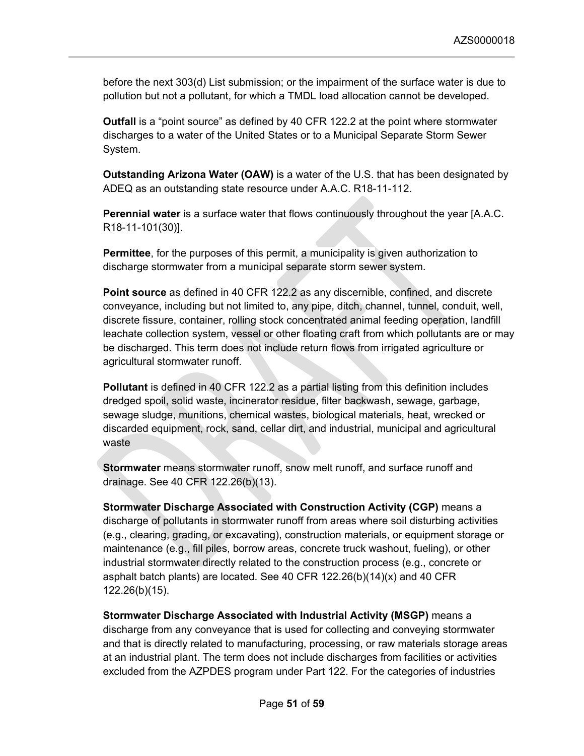before the next 303(d) List submission; or the impairment of the surface water is due to pollution but not a pollutant, for which a TMDL load allocation cannot be developed.

**Outfall** is a "point source" as defined by 40 CFR 122.2 at the point where stormwater discharges to a water of the United States or to a Municipal Separate Storm Sewer System.

**Outstanding Arizona Water (OAW)** is a water of the U.S. that has been designated by ADEQ as an outstanding state resource under A.A.C. R18-11-112.

**Perennial water** is a surface water that flows continuously throughout the year [A.A.C. R18-11-101(30)].

**Permittee**, for the purposes of this permit, a municipality is given authorization to discharge stormwater from a municipal separate storm sewer system.

**Point source** as defined in 40 CFR 122.2 as any discernible, confined, and discrete conveyance, including but not limited to, any pipe, ditch, channel, tunnel, conduit, well, discrete fissure, container, rolling stock concentrated animal feeding operation, landfill leachate collection system, vessel or other floating craft from which pollutants are or may be discharged. This term does not include return flows from irrigated agriculture or agricultural stormwater runoff.

**Pollutant** is defined in 40 CFR 122.2 as a partial listing from this definition includes dredged spoil, solid waste, incinerator residue, filter backwash, sewage, garbage, sewage sludge, munitions, chemical wastes, biological materials, heat, wrecked or discarded equipment, rock, sand, cellar dirt, and industrial, municipal and agricultural waste

**Stormwater** means stormwater runoff, snow melt runoff, and surface runoff and drainage. See 40 CFR 122.26(b)(13).

**Stormwater Discharge Associated with Construction Activity (CGP)** means a discharge of pollutants in stormwater runoff from areas where soil disturbing activities (e.g., clearing, grading, or excavating), construction materials, or equipment storage or maintenance (e.g., fill piles, borrow areas, concrete truck washout, fueling), or other industrial stormwater directly related to the construction process (e.g., concrete or asphalt batch plants) are located. See 40 CFR 122.26(b)(14)(x) and 40 CFR 122.26(b)(15).

**Stormwater Discharge Associated with Industrial Activity (MSGP)** means a discharge from any conveyance that is used for collecting and conveying stormwater and that is directly related to manufacturing, processing, or raw materials storage areas at an industrial plant. The term does not include discharges from facilities or activities excluded from the AZPDES program under Part 122. For the categories of industries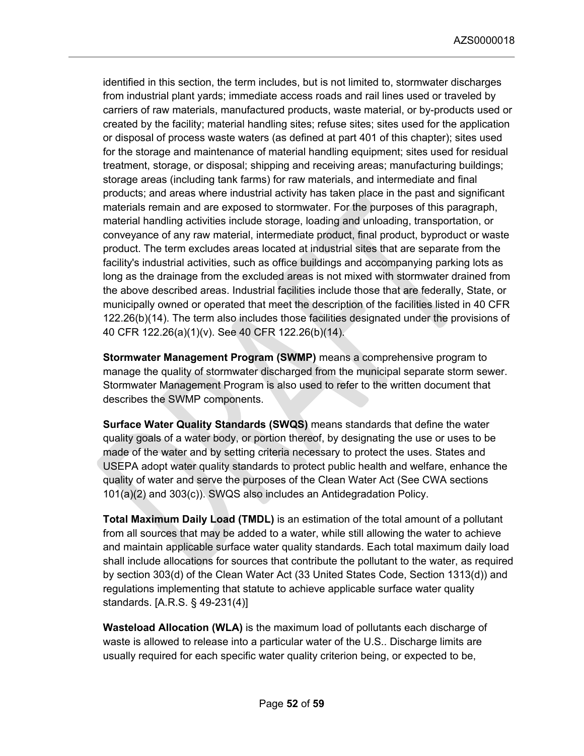identified in this section, the term includes, but is not limited to, stormwater discharges from industrial plant yards; immediate access roads and rail lines used or traveled by carriers of raw materials, manufactured products, waste material, or by-products used or created by the facility; material handling sites; refuse sites; sites used for the application or disposal of process waste waters (as defined at part 401 of this chapter); sites used for the storage and maintenance of material handling equipment; sites used for residual treatment, storage, or disposal; shipping and receiving areas; manufacturing buildings; storage areas (including tank farms) for raw materials, and intermediate and final products; and areas where industrial activity has taken place in the past and significant materials remain and are exposed to stormwater. For the purposes of this paragraph, material handling activities include storage, loading and unloading, transportation, or conveyance of any raw material, intermediate product, final product, byproduct or waste product. The term excludes areas located at industrial sites that are separate from the facility's industrial activities, such as office buildings and accompanying parking lots as long as the drainage from the excluded areas is not mixed with stormwater drained from the above described areas. Industrial facilities include those that are federally, State, or municipally owned or operated that meet the description of the facilities listed in 40 CFR 122.26(b)(14). The term also includes those facilities designated under the provisions of 40 CFR 122.26(a)(1)(v). See 40 CFR 122.26(b)(14).

**Stormwater Management Program (SWMP)** means a comprehensive program to manage the quality of stormwater discharged from the municipal separate storm sewer. Stormwater Management Program is also used to refer to the written document that describes the SWMP components.

**Surface Water Quality Standards (SWQS)** means standards that define the water quality goals of a water body, or portion thereof, by designating the use or uses to be made of the water and by setting criteria necessary to protect the uses. States and USEPA adopt water quality standards to protect public health and welfare, enhance the quality of water and serve the purposes of the Clean Water Act (See CWA sections 101(a)(2) and 303(c)). SWQS also includes an Antidegradation Policy.

**Total Maximum Daily Load (TMDL)** is an estimation of the total amount of a pollutant from all sources that may be added to a water, while still allowing the water to achieve and maintain applicable surface water quality standards. Each total maximum daily load shall include allocations for sources that contribute the pollutant to the water, as required by section 303(d) of the Clean Water Act (33 United States Code, Section 1313(d)) and regulations implementing that statute to achieve applicable surface water quality standards. [A.R.S. § 49-231(4)]

**Wasteload Allocation (WLA)** is the maximum load of pollutants each discharge of waste is allowed to release into a particular water of the U.S.. Discharge limits are usually required for each specific water quality criterion being, or expected to be,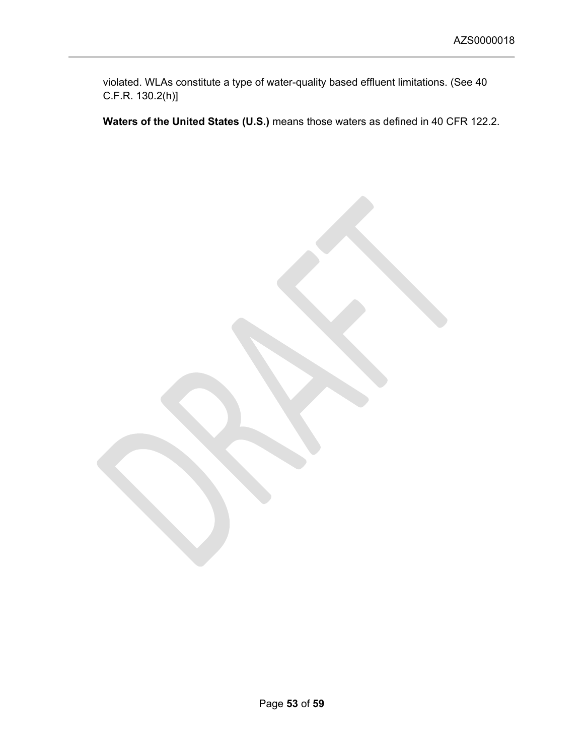violated. WLAs constitute a type of water-quality based effluent limitations. (See 40 C.F.R. 130.2(h)]

**Waters of the United States (U.S.)** means those waters as defined in 40 CFR 122.2.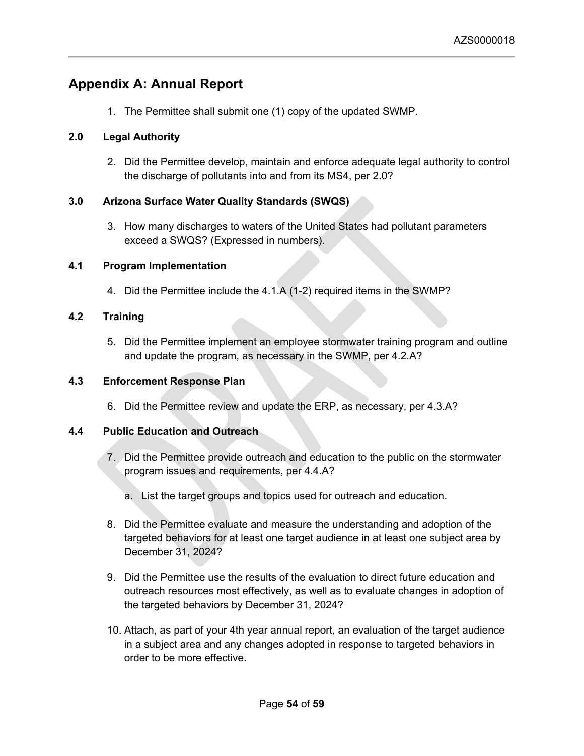# <span id="page-53-0"></span>**Appendix A: Annual Report**

1. The Permittee shall submit one (1) copy of the updated SWMP.

# **2.0 Legal Authority**

2. Did the Permittee develop, maintain and enforce adequate legal authority to control the discharge of pollutants into and from its MS4, per 2.0?

# **3.0 Arizona Surface Water Quality Standards (SWQS)**

3. How many discharges to waters of the United States had pollutant parameters exceed a SWQS? (Expressed in numbers).

# **4.1 Program Implementation**

4. Did the Permittee include the 4.1.A (1-2) required items in the SWMP?

# **4.2 Training**

5. Did the Permittee implement an employee stormwater training program and outline and update the program, as necessary in the SWMP, per 4.2.A?

# **4.3 Enforcement Response Plan**

6. Did the Permittee review and update the ERP, as necessary, per 4.3.A?

# **4.4 Public Education and Outreach**

- 7. Did the Permittee provide outreach and education to the public on the stormwater program issues and requirements, per 4.4.A?
	- a. List the target groups and topics used for outreach and education.
- 8. Did the Permittee evaluate and measure the understanding and adoption of the targeted behaviors for at least one target audience in at least one subject area by December 31, 2024?
- 9. Did the Permittee use the results of the evaluation to direct future education and outreach resources most effectively, as well as to evaluate changes in adoption of the targeted behaviors by December 31, 2024?
- 10. Attach, as part of your 4th year annual report, an evaluation of the target audience in a subject area and any changes adopted in response to targeted behaviors in order to be more effective.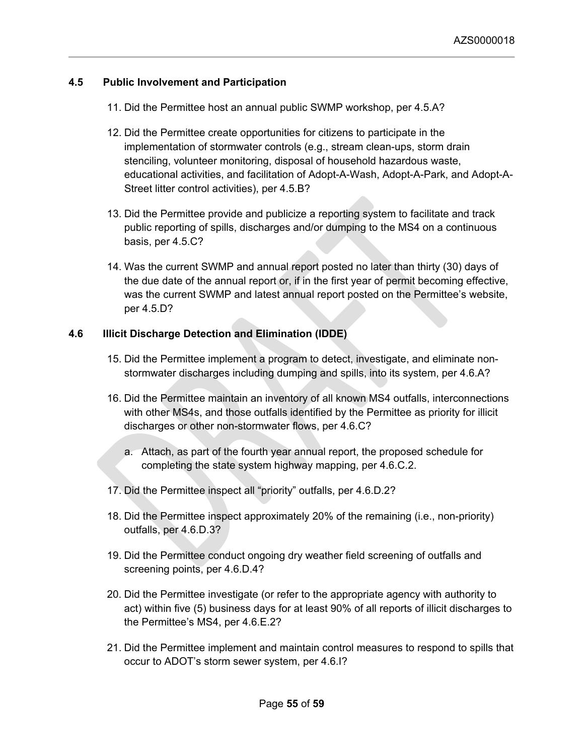## **4.5 Public Involvement and Participation**

- 11. Did the Permittee host an annual public SWMP workshop, per 4.5.A?
- 12. Did the Permittee create opportunities for citizens to participate in the implementation of stormwater controls (e.g., stream clean-ups, storm drain stenciling, volunteer monitoring, disposal of household hazardous waste, educational activities, and facilitation of Adopt-A-Wash, Adopt-A-Park, and Adopt-A-Street litter control activities), per 4.5.B?
- 13. Did the Permittee provide and publicize a reporting system to facilitate and track public reporting of spills, discharges and/or dumping to the MS4 on a continuous basis, per 4.5.C?
- 14. Was the current SWMP and annual report posted no later than thirty (30) days of the due date of the annual report or, if in the first year of permit becoming effective, was the current SWMP and latest annual report posted on the Permittee's website, per 4.5.D?

## **4.6 Illicit Discharge Detection and Elimination (IDDE)**

- 15. Did the Permittee implement a program to detect, investigate, and eliminate nonstormwater discharges including dumping and spills, into its system, per 4.6.A?
- 16. Did the Permittee maintain an inventory of all known MS4 outfalls, interconnections with other MS4s, and those outfalls identified by the Permittee as priority for illicit discharges or other non-stormwater flows, per 4.6.C?
	- a. Attach, as part of the fourth year annual report, the proposed schedule for completing the state system highway mapping, per 4.6.C.2.
- 17. Did the Permittee inspect all "priority" outfalls, per 4.6.D.2?
- 18. Did the Permittee inspect approximately 20% of the remaining (i.e., non-priority) outfalls, per 4.6.D.3?
- 19. Did the Permittee conduct ongoing dry weather field screening of outfalls and screening points, per 4.6.D.4?
- 20. Did the Permittee investigate (or refer to the appropriate agency with authority to act) within five (5) business days for at least 90% of all reports of illicit discharges to the Permittee's MS4, per 4.6.E.2?
- 21. Did the Permittee implement and maintain control measures to respond to spills that occur to ADOT's storm sewer system, per 4.6.I?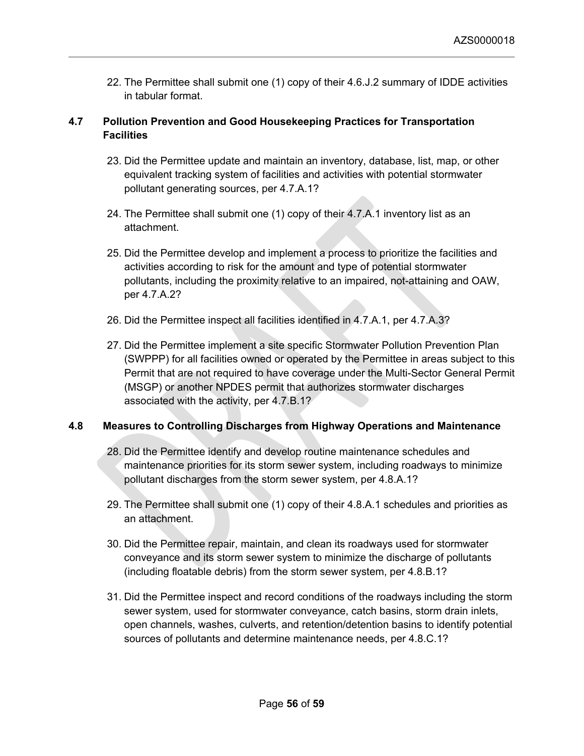22. The Permittee shall submit one (1) copy of their 4.6.J.2 summary of IDDE activities in tabular format.

# **4.7 Pollution Prevention and Good Housekeeping Practices for Transportation Facilities**

- 23. Did the Permittee update and maintain an inventory, database, list, map, or other equivalent tracking system of facilities and activities with potential stormwater pollutant generating sources, per 4.7.A.1?
- 24. The Permittee shall submit one (1) copy of their 4.7.A.1 inventory list as an attachment.
- 25. Did the Permittee develop and implement a process to prioritize the facilities and activities according to risk for the amount and type of potential stormwater pollutants, including the proximity relative to an impaired, not-attaining and OAW, per 4.7.A.2?
- 26. Did the Permittee inspect all facilities identified in 4.7.A.1, per 4.7.A.3?
- 27. Did the Permittee implement a site specific Stormwater Pollution Prevention Plan (SWPPP) for all facilities owned or operated by the Permittee in areas subject to this Permit that are not required to have coverage under the Multi-Sector General Permit (MSGP) or another NPDES permit that authorizes stormwater discharges associated with the activity, per 4.7.B.1?

# **4.8 Measures to Controlling Discharges from Highway Operations and Maintenance**

- 28. Did the Permittee identify and develop routine maintenance schedules and maintenance priorities for its storm sewer system, including roadways to minimize pollutant discharges from the storm sewer system, per 4.8.A.1?
- 29. The Permittee shall submit one (1) copy of their 4.8.A.1 schedules and priorities as an attachment.
- 30. Did the Permittee repair, maintain, and clean its roadways used for stormwater conveyance and its storm sewer system to minimize the discharge of pollutants (including floatable debris) from the storm sewer system, per 4.8.B.1?
- 31. Did the Permittee inspect and record conditions of the roadways including the storm sewer system, used for stormwater conveyance, catch basins, storm drain inlets, open channels, washes, culverts, and retention/detention basins to identify potential sources of pollutants and determine maintenance needs, per 4.8.C.1?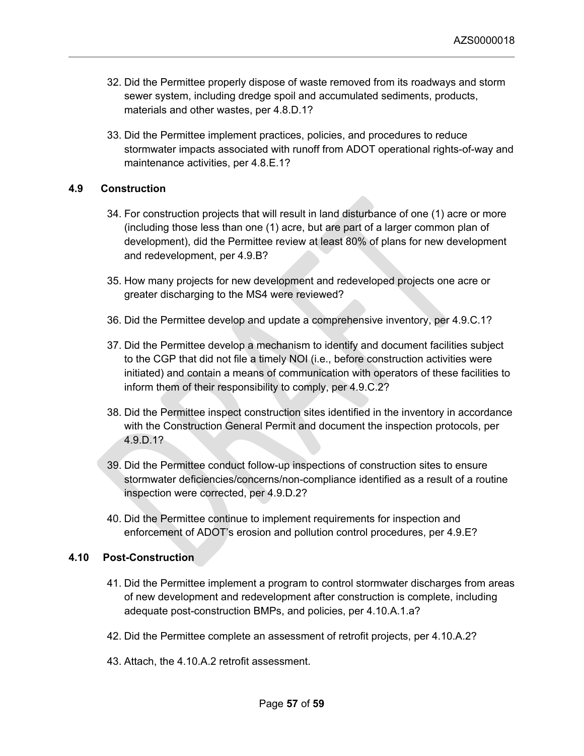- 32. Did the Permittee properly dispose of waste removed from its roadways and storm sewer system, including dredge spoil and accumulated sediments, products, materials and other wastes, per 4.8.D.1?
- 33. Did the Permittee implement practices, policies, and procedures to reduce stormwater impacts associated with runoff from ADOT operational rights-of-way and maintenance activities, per 4.8.E.1?

## **4.9 Construction**

- 34. For construction projects that will result in land disturbance of one (1) acre or more (including those less than one (1) acre, but are part of a larger common plan of development), did the Permittee review at least 80% of plans for new development and redevelopment, per 4.9.B?
- 35. How many projects for new development and redeveloped projects one acre or greater discharging to the MS4 were reviewed?
- 36. Did the Permittee develop and update a comprehensive inventory, per 4.9.C.1?
- 37. Did the Permittee develop a mechanism to identify and document facilities subject to the CGP that did not file a timely NOI (i.e., before construction activities were initiated) and contain a means of communication with operators of these facilities to inform them of their responsibility to comply, per 4.9.C.2?
- 38. Did the Permittee inspect construction sites identified in the inventory in accordance with the Construction General Permit and document the inspection protocols, per 4.9.D.1?
- 39. Did the Permittee conduct follow-up inspections of construction sites to ensure stormwater deficiencies/concerns/non-compliance identified as a result of a routine inspection were corrected, per 4.9.D.2?
- 40. Did the Permittee continue to implement requirements for inspection and enforcement of ADOT's erosion and pollution control procedures, per 4.9.E?

## **4.10 Post-Construction**

- 41. Did the Permittee implement a program to control stormwater discharges from areas of new development and redevelopment after construction is complete, including adequate post-construction BMPs, and policies, per 4.10.A.1.a?
- 42. Did the Permittee complete an assessment of retrofit projects, per 4.10.A.2?
- 43. Attach, the 4.10.A.2 retrofit assessment.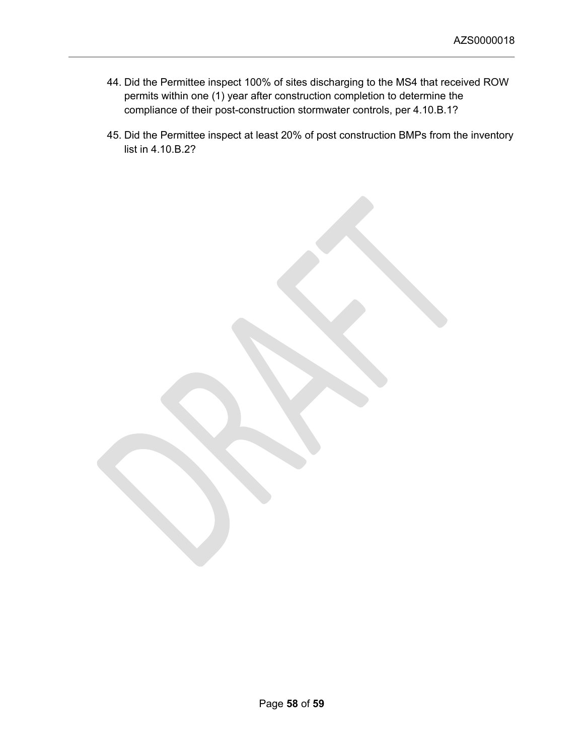- 44. Did the Permittee inspect 100% of sites discharging to the MS4 that received ROW permits within one (1) year after construction completion to determine the compliance of their post-construction stormwater controls, per 4.10.B.1?
- 45. Did the Permittee inspect at least 20% of post construction BMPs from the inventory list in 4.10.B.2?